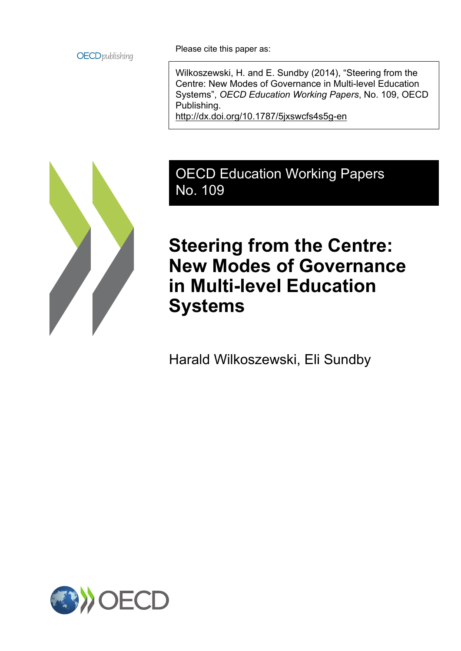

Please cite this paper as:

Wilkoszewski, H. and E. Sundby (2014), "Steering from the Centre: New Modes of Governance in Multi-level Education Systems", *OECD Education Working Papers*, No. 109, OECD Publishing.

<http://dx.doi.org/10.1787/5jxswcfs4s5g-en>



OECD Education Working Papers No. 109

**Steering from the Centre: New Modes of Governance in Multi-level Education Systems**

Harald Wilkoszewski, Eli Sundby

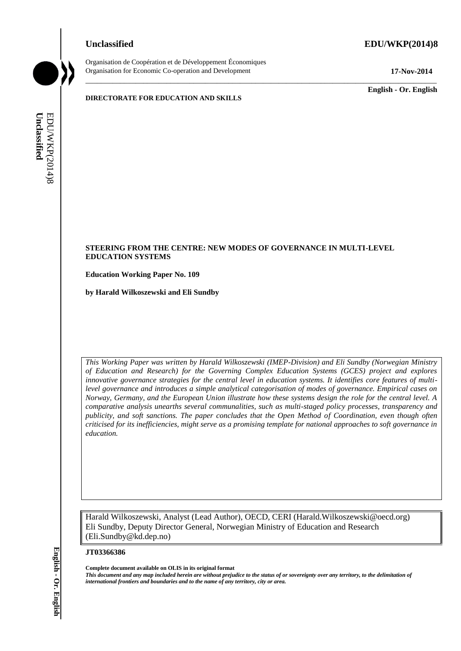# **Unclassified EDU/WKP(2014)8**

Organisation de Coopération et de Développement Économiques Organisation for Economic Co-operation and Development **17-Nov-2014**

\_\_\_\_\_\_\_\_\_\_\_\_\_ **English - Or. English**

#### **DIRECTORATE FOR EDUCATION AND SKILLS**

# **STEERING FROM THE CENTRE: NEW MODES OF GOVERNANCE IN MULTI-LEVEL EDUCATION SYSTEMS**

\_\_\_\_\_\_\_\_\_\_\_\_\_\_\_\_\_\_\_\_\_\_\_\_\_\_\_\_\_\_\_\_\_\_\_\_\_\_\_\_\_\_\_\_\_\_\_\_\_\_\_\_\_\_\_\_\_\_\_\_\_\_\_\_\_\_\_\_\_\_\_\_\_\_\_\_\_\_\_\_\_\_\_\_\_\_\_\_\_\_\_

**Education Working Paper No. 109**

**by Harald Wilkoszewski and Eli Sundby**

*This Working Paper was written by Harald Wilkoszewski (IMEP-Division) and Eli Sundby (Norwegian Ministry of Education and Research) for the Governing Complex Education Systems (GCES) project and explores innovative governance strategies for the central level in education systems. It identifies core features of multilevel governance and introduces a simple analytical categorisation of modes of governance. Empirical cases on Norway, Germany, and the European Union illustrate how these systems design the role for the central level. A comparative analysis unearths several communalities, such as multi-staged policy processes, transparency and publicity, and soft sanctions. The paper concludes that the Open Method of Coordination, even though often criticised for its inefficiencies, might serve as a promising template for national approaches to soft governance in education.* **international from the name of any territorial from the name of any territorial from the name of any territorial from the name of any territorial from the name of any territorial from the name of any territorial from the** 

Harald Wilkoszewski, Analyst (Lead Author), OECD, CERI (Harald.Wilkoszewski@oecd.org) Eli Sundby, Deputy Director General, Norwegian Ministry of Education and Research (Eli.Sundby@kd.dep.no)

#### **JT03366386**

**Complete document available on OLIS in its original format** *This document and any map included herein are without prejudice to the status of or sovereignty over any territory, to the delimitation of*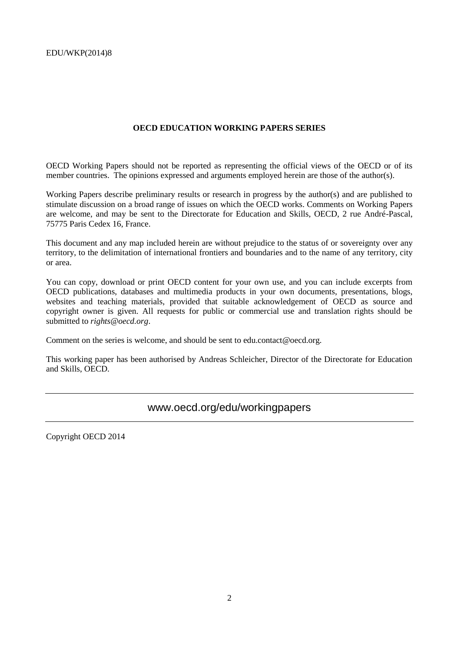# **OECD EDUCATION WORKING PAPERS SERIES**

OECD Working Papers should not be reported as representing the official views of the OECD or of its member countries. The opinions expressed and arguments employed herein are those of the author(s).

Working Papers describe preliminary results or research in progress by the author(s) and are published to stimulate discussion on a broad range of issues on which the OECD works. Comments on Working Papers are welcome, and may be sent to the Directorate for Education and Skills, OECD, 2 rue André-Pascal, 75775 Paris Cedex 16, France.

This document and any map included herein are without prejudice to the status of or sovereignty over any territory, to the delimitation of international frontiers and boundaries and to the name of any territory, city or area.

You can copy, download or print OECD content for your own use, and you can include excerpts from OECD publications, databases and multimedia products in your own documents, presentations, blogs, websites and teaching materials, provided that suitable acknowledgement of OECD as source and copyright owner is given. All requests for public or commercial use and translation rights should be submitted to *rights@oecd.org*.

Comment on the series is welcome, and should be sent to edu.contact@oecd.org.

This working paper has been authorised by Andreas Schleicher, Director of the Directorate for Education and Skills, OECD.

# www.oecd.org/edu/workingpapers

Copyright OECD 2014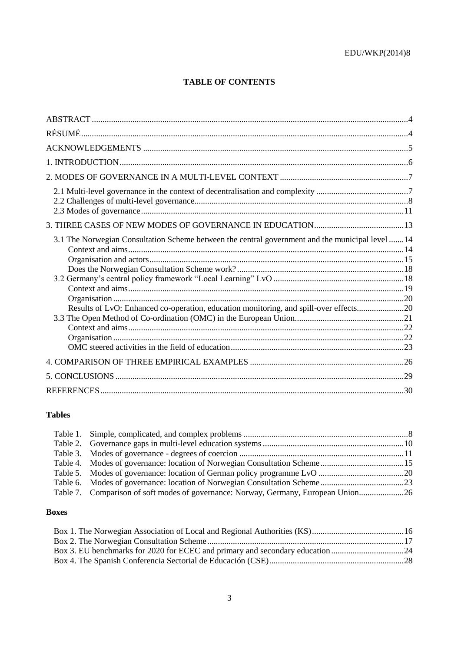# **TABLE OF CONTENTS**

| 3.1 The Norwegian Consultation Scheme between the central government and the municipal level  14<br>Results of LvO: Enhanced co-operation, education monitoring, and spill-over effects20 |  |
|-------------------------------------------------------------------------------------------------------------------------------------------------------------------------------------------|--|
|                                                                                                                                                                                           |  |
|                                                                                                                                                                                           |  |
|                                                                                                                                                                                           |  |

# **Tables**

| Table 7. Comparison of soft modes of governance: Norway, Germany, European Union26 |  |
|------------------------------------------------------------------------------------|--|

# **Boxes**

| Box 3. EU benchmarks for 2020 for ECEC and primary and secondary education 24 |  |
|-------------------------------------------------------------------------------|--|
|                                                                               |  |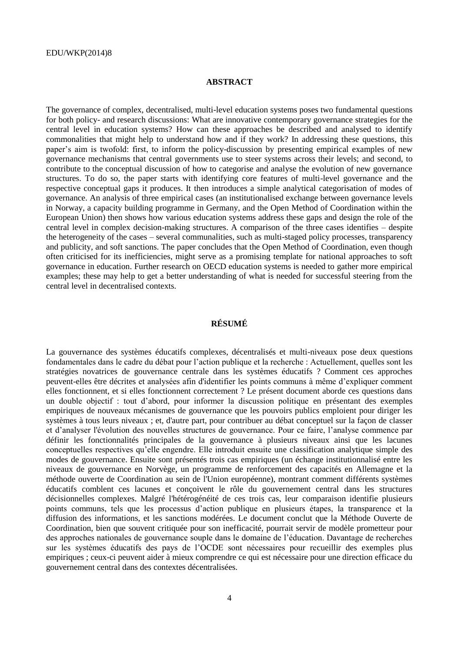#### **ABSTRACT**

The governance of complex, decentralised, multi-level education systems poses two fundamental questions for both policy- and research discussions: What are innovative contemporary governance strategies for the central level in education systems? How can these approaches be described and analysed to identify commonalities that might help to understand how and if they work? In addressing these questions, this paper's aim is twofold: first, to inform the policy-discussion by presenting empirical examples of new governance mechanisms that central governments use to steer systems across their levels; and second, to contribute to the conceptual discussion of how to categorise and analyse the evolution of new governance structures. To do so, the paper starts with identifying core features of multi-level governance and the respective conceptual gaps it produces. It then introduces a simple analytical categorisation of modes of governance. An analysis of three empirical cases (an institutionalised exchange between governance levels in Norway, a capacity building programme in Germany, and the Open Method of Coordination within the European Union) then shows how various education systems address these gaps and design the role of the central level in complex decision-making structures. A comparison of the three cases identifies – despite the heterogeneity of the cases – several communalities, such as multi-staged policy processes, transparency and publicity, and soft sanctions. The paper concludes that the Open Method of Coordination, even though often criticised for its inefficiencies, might serve as a promising template for national approaches to soft governance in education. Further research on OECD education systems is needed to gather more empirical examples; these may help to get a better understanding of what is needed for successful steering from the central level in decentralised contexts.

# **RÉSUMÉ**

La gouvernance des systèmes éducatifs complexes, décentralisés et multi-niveaux pose deux questions fondamentales dans le cadre du débat pour l'action publique et la recherche : Actuellement, quelles sont les stratégies novatrices de gouvernance centrale dans les systèmes éducatifs ? Comment ces approches peuvent-elles être décrites et analysées afin d'identifier les points communs à même d'expliquer comment elles fonctionnent, et si elles fonctionnent correctement ? Le présent document aborde ces questions dans un double objectif : tout d'abord, pour informer la discussion politique en présentant des exemples empiriques de nouveaux mécanismes de gouvernance que les pouvoirs publics emploient pour diriger les systèmes à tous leurs niveaux ; et, d'autre part, pour contribuer au débat conceptuel sur la façon de classer et d'analyser l'évolution des nouvelles structures de gouvernance. Pour ce faire, l'analyse commence par définir les fonctionnalités principales de la gouvernance à plusieurs niveaux ainsi que les lacunes conceptuelles respectives qu'elle engendre. Elle introduit ensuite une classification analytique simple des modes de gouvernance. Ensuite sont présentés trois cas empiriques (un échange institutionnalisé entre les niveaux de gouvernance en Norvège, un programme de renforcement des capacités en Allemagne et la méthode ouverte de Coordination au sein de l'Union européenne), montrant comment différents systèmes éducatifs comblent ces lacunes et conçoivent le rôle du gouvernement central dans les structures décisionnelles complexes. Malgré l'hétérogénéité de ces trois cas, leur comparaison identifie plusieurs points communs, tels que les processus d'action publique en plusieurs étapes, la transparence et la diffusion des informations, et les sanctions modérées. Le document conclut que la Méthode Ouverte de Coordination, bien que souvent critiquée pour son inefficacité, pourrait servir de modèle prometteur pour des approches nationales de gouvernance souple dans le domaine de l'éducation. Davantage de recherches sur les systèmes éducatifs des pays de l'OCDE sont nécessaires pour recueillir des exemples plus empiriques ; ceux-ci peuvent aider à mieux comprendre ce qui est nécessaire pour une direction efficace du gouvernement central dans des contextes décentralisées.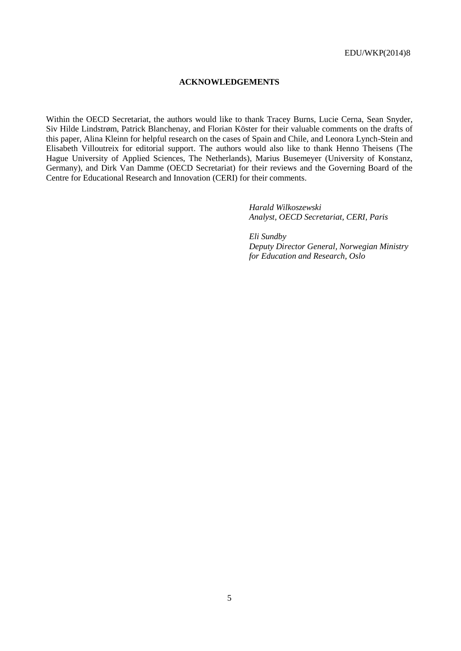### **ACKNOWLEDGEMENTS**

Within the OECD Secretariat, the authors would like to thank Tracey Burns, Lucie Cerna, Sean Snyder, Siv Hilde Lindstrøm, Patrick Blanchenay, and Florian Köster for their valuable comments on the drafts of this paper, Alina Kleinn for helpful research on the cases of Spain and Chile, and Leonora Lynch-Stein and Elisabeth Villoutreix for editorial support. The authors would also like to thank Henno Theisens (The Hague University of Applied Sciences, The Netherlands), Marius Busemeyer (University of Konstanz, Germany), and Dirk Van Damme (OECD Secretariat) for their reviews and the Governing Board of the Centre for Educational Research and Innovation (CERI) for their comments.

> *Harald Wilkoszewski Analyst, OECD Secretariat, CERI, Paris*

*Eli Sundby Deputy Director General, Norwegian Ministry for Education and Research, Oslo*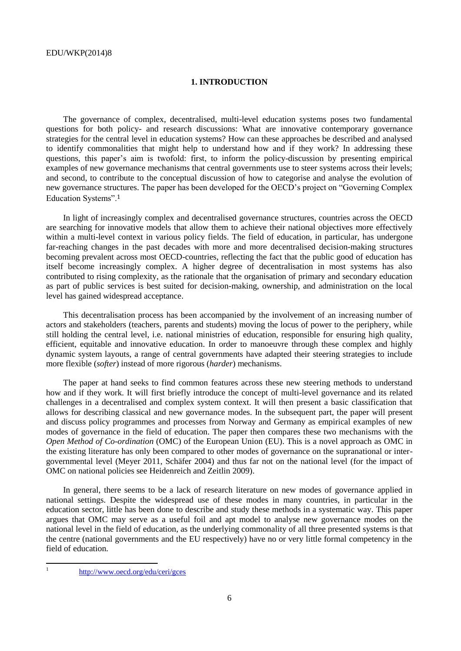# **1. INTRODUCTION**

The governance of complex, decentralised, multi-level education systems poses two fundamental questions for both policy- and research discussions: What are innovative contemporary governance strategies for the central level in education systems? How can these approaches be described and analysed to identify commonalities that might help to understand how and if they work? In addressing these questions, this paper's aim is twofold: first, to inform the policy-discussion by presenting empirical examples of new governance mechanisms that central governments use to steer systems across their levels; and second, to contribute to the conceptual discussion of how to categorise and analyse the evolution of new governance structures. The paper has been developed for the OECD's project on "Governing Complex Education Systems".<sup>1</sup>

In light of increasingly complex and decentralised governance structures, countries across the OECD are searching for innovative models that allow them to achieve their national objectives more effectively within a multi-level context in various policy fields. The field of education, in particular, has undergone far-reaching changes in the past decades with more and more decentralised decision-making structures becoming prevalent across most OECD-countries, reflecting the fact that the public good of education has itself become increasingly complex. A higher degree of decentralisation in most systems has also contributed to rising complexity, as the rationale that the organisation of primary and secondary education as part of public services is best suited for decision-making, ownership, and administration on the local level has gained widespread acceptance.

This decentralisation process has been accompanied by the involvement of an increasing number of actors and stakeholders (teachers, parents and students) moving the locus of power to the periphery, while still holding the central level, i.e. national ministries of education, responsible for ensuring high quality, efficient, equitable and innovative education. In order to manoeuvre through these complex and highly dynamic system layouts, a range of central governments have adapted their steering strategies to include more flexible (*softer*) instead of more rigorous (*harder*) mechanisms.

The paper at hand seeks to find common features across these new steering methods to understand how and if they work. It will first briefly introduce the concept of multi-level governance and its related challenges in a decentralised and complex system context. It will then present a basic classification that allows for describing classical and new governance modes. In the subsequent part, the paper will present and discuss policy programmes and processes from Norway and Germany as empirical examples of new modes of governance in the field of education. The paper then compares these two mechanisms with the *Open Method of Co-ordination* (OMC) of the European Union (EU). This is a novel approach as OMC in the existing literature has only been compared to other modes of governance on the supranational or intergovernmental level (Meyer 2011, Schäfer 2004) and thus far not on the national level (for the impact of OMC on national policies see Heidenreich and Zeitlin 2009).

In general, there seems to be a lack of research literature on new modes of governance applied in national settings. Despite the widespread use of these modes in many countries, in particular in the education sector, little has been done to describe and study these methods in a systematic way. This paper argues that OMC may serve as a useful foil and apt model to analyse new governance modes on the national level in the field of education, as the underlying commonality of all three presented systems is that the centre (national governments and the EU respectively) have no or very little formal competency in the field of education.

 $\frac{1}{1}$ 

<http://www.oecd.org/edu/ceri/gces>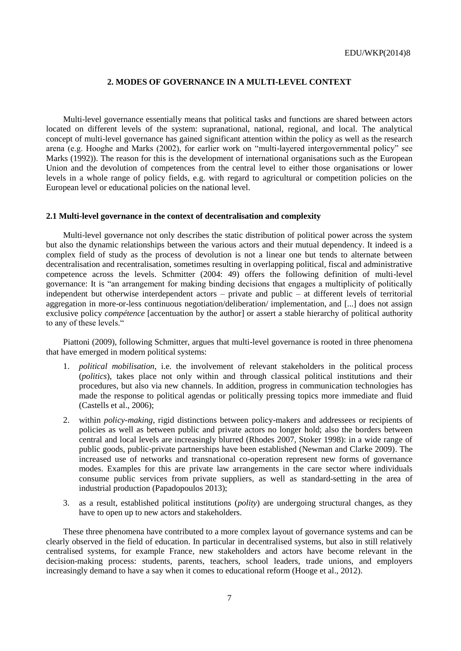# **2. MODES OF GOVERNANCE IN A MULTI-LEVEL CONTEXT**

Multi-level governance essentially means that political tasks and functions are shared between actors located on different levels of the system: supranational, national, regional, and local. The analytical concept of multi-level governance has gained significant attention within the policy as well as the research arena (e.g. Hooghe and Marks (2002), for earlier work on "multi-layered intergovernmental policy" see Marks (1992)). The reason for this is the development of international organisations such as the European Union and the devolution of competences from the central level to either those organisations or lower levels in a whole range of policy fields, e.g. with regard to agricultural or competition policies on the European level or educational policies on the national level.

#### **2.1 Multi-level governance in the context of decentralisation and complexity**

Multi-level governance not only describes the static distribution of political power across the system but also the dynamic relationships between the various actors and their mutual dependency. It indeed is a complex field of study as the process of devolution is not a linear one but tends to alternate between decentralisation and recentralisation, sometimes resulting in overlapping political, fiscal and administrative competence across the levels. Schmitter (2004: 49) offers the following definition of multi-level governance: It is "an arrangement for making binding decisions that engages a multiplicity of politically independent but otherwise interdependent actors – private and public – at different levels of territorial aggregation in more-or-less continuous negotiation/deliberation/ implementation, and [...] does not assign exclusive policy *compétence* [accentuation by the author] or assert a stable hierarchy of political authority to any of these levels."

Piattoni (2009), following Schmitter, argues that multi-level governance is rooted in three phenomena that have emerged in modern political systems:

- 1. *political mobilisation*, i.e. the involvement of relevant stakeholders in the political process (*politics*), takes place not only within and through classical political institutions and their procedures, but also via new channels. In addition, progress in communication technologies has made the response to political agendas or politically pressing topics more immediate and fluid (Castells et al., 2006);
- 2. within *policy-making*, rigid distinctions between policy-makers and addressees or recipients of policies as well as between public and private actors no longer hold; also the borders between central and local levels are increasingly blurred (Rhodes 2007, Stoker 1998): in a wide range of public goods, public-private partnerships have been established (Newman and Clarke 2009). The increased use of networks and transnational co-operation represent new forms of governance modes. Examples for this are private law arrangements in the care sector where individuals consume public services from private suppliers, as well as standard-setting in the area of industrial production (Papadopoulos 2013);
- 3. as a result, established political institutions (*polity*) are undergoing structural changes, as they have to open up to new actors and stakeholders.

These three phenomena have contributed to a more complex layout of governance systems and can be clearly observed in the field of education. In particular in decentralised systems, but also in still relatively centralised systems, for example France, new stakeholders and actors have become relevant in the decision-making process: students, parents, teachers, school leaders, trade unions, and employers increasingly demand to have a say when it comes to educational reform (Hooge et al., 2012).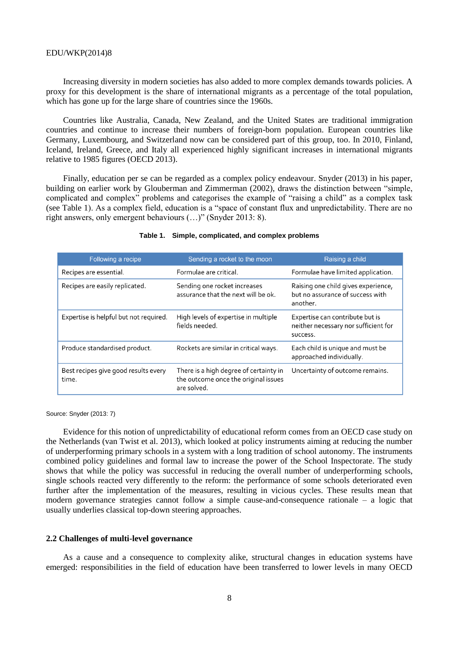#### EDU/WKP(2014)8

Increasing diversity in modern societies has also added to more complex demands towards policies. A proxy for this development is the share of international migrants as a percentage of the total population, which has gone up for the large share of countries since the 1960s.

Countries like Australia, Canada, New Zealand, and the United States are traditional immigration countries and continue to increase their numbers of foreign-born population. European countries like Germany, Luxembourg, and Switzerland now can be considered part of this group, too. In 2010, Finland, Iceland, Ireland, Greece, and Italy all experienced highly significant increases in international migrants relative to 1985 figures (OECD 2013).

Finally, education per se can be regarded as a complex policy endeavour. Snyder (2013) in his paper, building on earlier work by Glouberman and Zimmerman (2002), draws the distinction between "simple, complicated and complex" problems and categorises the example of "raising a child" as a complex task (see Table 1). As a complex field, education is a "space of constant flux and unpredictability. There are no right answers, only emergent behaviours (…)" (Snyder 2013: 8).

| Following a recipe                            | Sending a rocket to the moon                                                                  | Raising a child                                                                     |
|-----------------------------------------------|-----------------------------------------------------------------------------------------------|-------------------------------------------------------------------------------------|
| Recipes are essential.                        | Formulae are critical.                                                                        | Formulae have limited application.                                                  |
| Recipes are easily replicated.                | Sending one rocket increases<br>assurance that the next will be ok.                           | Raising one child gives experience,<br>but no assurance of success with<br>another. |
| Expertise is helpful but not required.        | High levels of expertise in multiple<br>fields needed.                                        | Expertise can contribute but is<br>neither necessary nor sufficient for<br>success. |
| Produce standardised product.                 | Rockets are similar in critical ways.                                                         | Each child is unique and must be<br>approached individually.                        |
| Best recipes give good results every<br>time. | There is a high degree of certainty in<br>the outcome once the original issues<br>are solved. | Uncertainty of outcome remains.                                                     |

#### **Table 1. Simple, complicated, and complex problems**

Source: Snyder (2013: 7)

Evidence for this notion of unpredictability of educational reform comes from an OECD case study on the Netherlands (van Twist et al. 2013), which looked at policy instruments aiming at reducing the number of underperforming primary schools in a system with a long tradition of school autonomy. The instruments combined policy guidelines and formal law to increase the power of the School Inspectorate. The study shows that while the policy was successful in reducing the overall number of underperforming schools, single schools reacted very differently to the reform: the performance of some schools deteriorated even further after the implementation of the measures, resulting in vicious cycles. These results mean that modern governance strategies cannot follow a simple cause-and-consequence rationale – a logic that usually underlies classical top-down steering approaches.

#### **2.2 Challenges of multi-level governance**

As a cause and a consequence to complexity alike, structural changes in education systems have emerged: responsibilities in the field of education have been transferred to lower levels in many OECD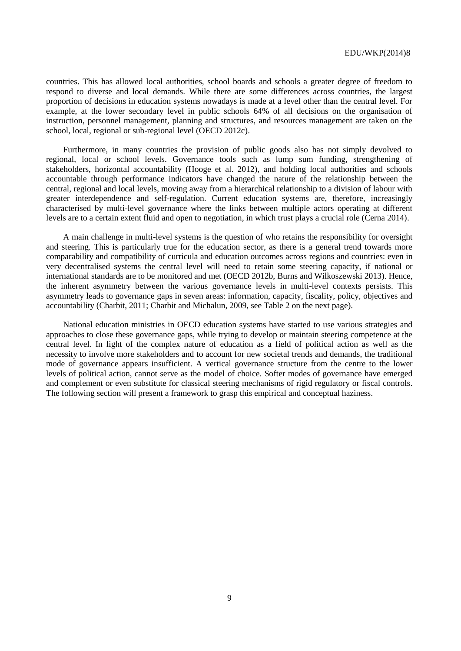countries. This has allowed local authorities, school boards and schools a greater degree of freedom to respond to diverse and local demands. While there are some differences across countries, the largest proportion of decisions in education systems nowadays is made at a level other than the central level. For example, at the lower secondary level in public schools 64% of all decisions on the organisation of instruction, personnel management, planning and structures, and resources management are taken on the school, local, regional or sub-regional level (OECD 2012c).

Furthermore, in many countries the provision of public goods also has not simply devolved to regional, local or school levels. Governance tools such as lump sum funding, strengthening of stakeholders, horizontal accountability (Hooge et al. 2012), and holding local authorities and schools accountable through performance indicators have changed the nature of the relationship between the central, regional and local levels, moving away from a hierarchical relationship to a division of labour with greater interdependence and self-regulation. Current education systems are, therefore, increasingly characterised by multi-level governance where the links between multiple actors operating at different levels are to a certain extent fluid and open to negotiation, in which trust plays a crucial role (Cerna 2014).

A main challenge in multi-level systems is the question of who retains the responsibility for oversight and steering. This is particularly true for the education sector, as there is a general trend towards more comparability and compatibility of curricula and education outcomes across regions and countries: even in very decentralised systems the central level will need to retain some steering capacity, if national or international standards are to be monitored and met (OECD 2012b, Burns and Wilkoszewski 2013). Hence, the inherent asymmetry between the various governance levels in multi-level contexts persists. This asymmetry leads to governance gaps in seven areas: information, capacity, fiscality, policy, objectives and accountability (Charbit, 2011; Charbit and Michalun, 2009, see Table 2 on the next page).

National education ministries in OECD education systems have started to use various strategies and approaches to close these governance gaps, while trying to develop or maintain steering competence at the central level. In light of the complex nature of education as a field of political action as well as the necessity to involve more stakeholders and to account for new societal trends and demands, the traditional mode of governance appears insufficient. A vertical governance structure from the centre to the lower levels of political action, cannot serve as the model of choice. Softer modes of governance have emerged and complement or even substitute for classical steering mechanisms of rigid regulatory or fiscal controls. The following section will present a framework to grasp this empirical and conceptual haziness.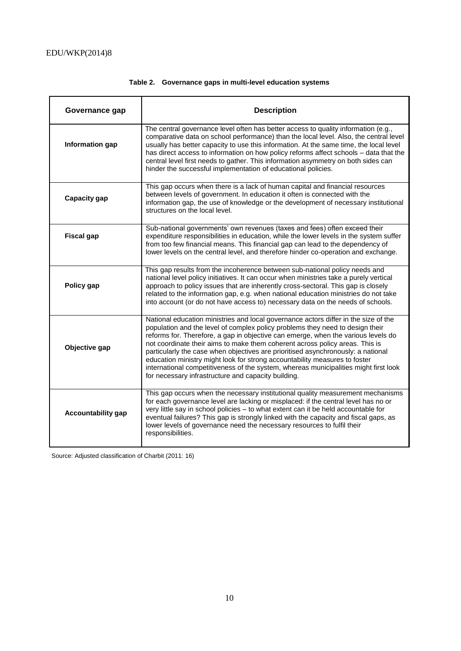# **Table 2. Governance gaps in multi-level education systems**

| Governance gap            | <b>Description</b>                                                                                                                                                                                                                                                                                                                                                                                                                                                                                                                                                                                                                                         |
|---------------------------|------------------------------------------------------------------------------------------------------------------------------------------------------------------------------------------------------------------------------------------------------------------------------------------------------------------------------------------------------------------------------------------------------------------------------------------------------------------------------------------------------------------------------------------------------------------------------------------------------------------------------------------------------------|
| Information gap           | The central governance level often has better access to quality information (e.g.,<br>comparative data on school performance) than the local level. Also, the central level<br>usually has better capacity to use this information. At the same time, the local level<br>has direct access to information on how policy reforms affect schools - data that the<br>central level first needs to gather. This information asymmetry on both sides can<br>hinder the successful implementation of educational policies.                                                                                                                                       |
| <b>Capacity gap</b>       | This gap occurs when there is a lack of human capital and financial resources<br>between levels of government. In education it often is connected with the<br>information gap, the use of knowledge or the development of necessary institutional<br>structures on the local level.                                                                                                                                                                                                                                                                                                                                                                        |
| <b>Fiscal gap</b>         | Sub-national governments' own revenues (taxes and fees) often exceed their<br>expenditure responsibilities in education, while the lower levels in the system suffer<br>from too few financial means. This financial gap can lead to the dependency of<br>lower levels on the central level, and therefore hinder co-operation and exchange.                                                                                                                                                                                                                                                                                                               |
| Policy gap                | This gap results from the incoherence between sub-national policy needs and<br>national level policy initiatives. It can occur when ministries take a purely vertical<br>approach to policy issues that are inherently cross-sectoral. This gap is closely<br>related to the information gap, e.g. when national education ministries do not take<br>into account (or do not have access to) necessary data on the needs of schools.                                                                                                                                                                                                                       |
| Objective gap             | National education ministries and local governance actors differ in the size of the<br>population and the level of complex policy problems they need to design their<br>reforms for. Therefore, a gap in objective can emerge, when the various levels do<br>not coordinate their aims to make them coherent across policy areas. This is<br>particularly the case when objectives are prioritised asynchronously: a national<br>education ministry might look for strong accountability measures to foster<br>international competitiveness of the system, whereas municipalities might first look<br>for necessary infrastructure and capacity building. |
| <b>Accountability gap</b> | This gap occurs when the necessary institutional quality measurement mechanisms<br>for each governance level are lacking or misplaced: if the central level has no or<br>very little say in school policies - to what extent can it be held accountable for<br>eventual failures? This gap is strongly linked with the capacity and fiscal gaps, as<br>lower levels of governance need the necessary resources to fulfil their<br>responsibilities.                                                                                                                                                                                                        |

Source: Adjusted classification of Charbit (2011: 16)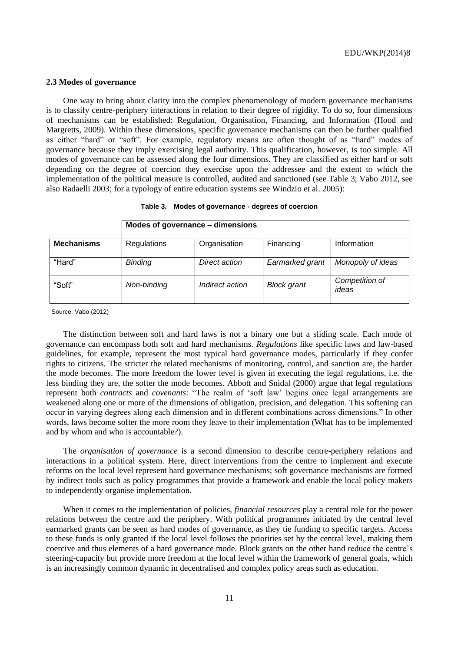#### **2.3 Modes of governance**

One way to bring about clarity into the complex phenomenology of modern governance mechanisms is to classify centre-periphery interactions in relation to their degree of rigidity. To do so, four dimensions of mechanisms can be established: Regulation, Organisation, Financing, and Information (Hood and Margretts, 2009). Within these dimensions, specific governance mechanisms can then be further qualified as either "hard" or "soft". For example, regulatory means are often thought of as "hard" modes of governance because they imply exercising legal authority. This qualification, however, is too simple. All modes of governance can be assessed along the four dimensions. They are classified as either hard or soft depending on the degree of coercion they exercise upon the addressee and the extent to which the implementation of the political measure is controlled, audited and sanctioned (see Table 3; Vabo 2012, see also Radaelli 2003; for a typology of entire education systems see Windzio et al. 2005):

|                   | Modes of governance - dimensions |                 |                    |                         |  |
|-------------------|----------------------------------|-----------------|--------------------|-------------------------|--|
| <b>Mechanisms</b> | Regulations                      | Organisation    | Financing          | Information             |  |
| "Hard"            | <b>Binding</b>                   | Direct action   | Earmarked grant    | Monopoly of ideas       |  |
| "Soft"            | Non-binding                      | Indirect action | <b>Block grant</b> | Competition of<br>ideas |  |

**Table 3. Modes of governance - degrees of coercion**

Source: Vabo (2012)

The distinction between soft and hard laws is not a binary one but a sliding scale. Each mode of governance can encompass both soft and hard mechanisms. *Regulations* like specific laws and law-based guidelines, for example, represent the most typical hard governance modes, particularly if they confer rights to citizens. The stricter the related mechanisms of monitoring, control, and sanction are, the harder the mode becomes. The more freedom the lower level is given in executing the legal regulations, i.e. the less binding they are, the softer the mode becomes. Abbott and Snidal (2000) argue that legal regulations represent both *contracts* and *covenants*: "The realm of 'soft law' begins once legal arrangements are weakened along one or more of the dimensions of obligation, precision, and delegation. This softening can occur in varying degrees along each dimension and in different combinations across dimensions." In other words, laws become softer the more room they leave to their implementation (What has to be implemented and by whom and who is accountable?).

The *organisation of governance* is a second dimension to describe centre-periphery relations and interactions in a political system. Here, direct interventions from the centre to implement and execute reforms on the local level represent hard governance mechanisms; soft governance mechanisms are formed by indirect tools such as policy programmes that provide a framework and enable the local policy makers to independently organise implementation.

When it comes to the implementation of policies, *financial resources* play a central role for the power relations between the centre and the periphery. With political programmes initiated by the central level earmarked grants can be seen as hard modes of governance, as they tie funding to specific targets. Access to these funds is only granted if the local level follows the priorities set by the central level, making them coercive and thus elements of a hard governance mode. Block grants on the other hand reduce the centre's steering-capacity but provide more freedom at the local level within the framework of general goals, which is an increasingly common dynamic in decentralised and complex policy areas such as education.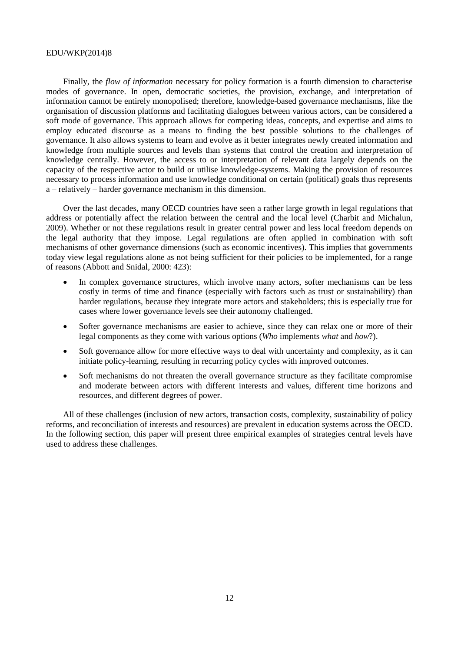#### EDU/WKP(2014)8

Finally, the *flow of information* necessary for policy formation is a fourth dimension to characterise modes of governance. In open, democratic societies, the provision, exchange, and interpretation of information cannot be entirely monopolised; therefore, knowledge-based governance mechanisms, like the organisation of discussion platforms and facilitating dialogues between various actors, can be considered a soft mode of governance. This approach allows for competing ideas, concepts, and expertise and aims to employ educated discourse as a means to finding the best possible solutions to the challenges of governance. It also allows systems to learn and evolve as it better integrates newly created information and knowledge from multiple sources and levels than systems that control the creation and interpretation of knowledge centrally. However, the access to or interpretation of relevant data largely depends on the capacity of the respective actor to build or utilise knowledge-systems. Making the provision of resources necessary to process information and use knowledge conditional on certain (political) goals thus represents a – relatively – harder governance mechanism in this dimension.

Over the last decades, many OECD countries have seen a rather large growth in legal regulations that address or potentially affect the relation between the central and the local level (Charbit and Michalun, 2009). Whether or not these regulations result in greater central power and less local freedom depends on the legal authority that they impose. Legal regulations are often applied in combination with soft mechanisms of other governance dimensions (such as economic incentives). This implies that governments today view legal regulations alone as not being sufficient for their policies to be implemented, for a range of reasons (Abbott and Snidal, 2000: 423):

- In complex governance structures, which involve many actors, softer mechanisms can be less costly in terms of time and finance (especially with factors such as trust or sustainability) than harder regulations, because they integrate more actors and stakeholders; this is especially true for cases where lower governance levels see their autonomy challenged.
- Softer governance mechanisms are easier to achieve, since they can relax one or more of their legal components as they come with various options (*Who* implements *what* and *how*?).
- Soft governance allow for more effective ways to deal with uncertainty and complexity, as it can initiate policy-learning, resulting in recurring policy cycles with improved outcomes.
- Soft mechanisms do not threaten the overall governance structure as they facilitate compromise and moderate between actors with different interests and values, different time horizons and resources, and different degrees of power.

All of these challenges (inclusion of new actors, transaction costs, complexity, sustainability of policy reforms, and reconciliation of interests and resources) are prevalent in education systems across the OECD. In the following section, this paper will present three empirical examples of strategies central levels have used to address these challenges.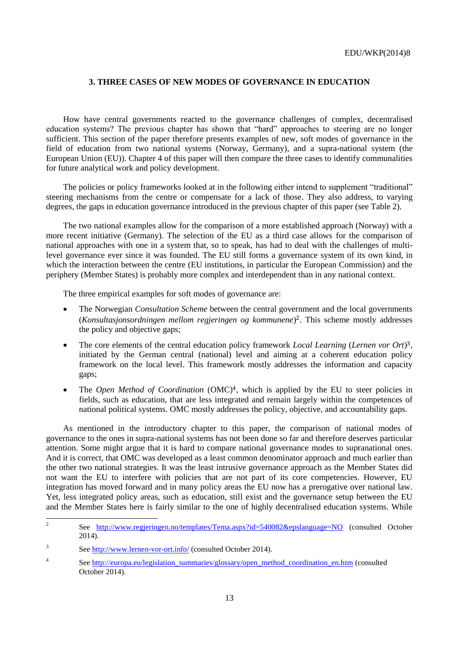### **3. THREE CASES OF NEW MODES OF GOVERNANCE IN EDUCATION**

How have central governments reacted to the governance challenges of complex, decentralised education systems? The previous chapter has shown that "hard" approaches to steering are no longer sufficient. This section of the paper therefore presents examples of new, soft modes of governance in the field of education from two national systems (Norway, Germany), and a supra-national system (the European Union (EU)). Chapter 4 of this paper will then compare the three cases to identify communalities for future analytical work and policy development.

The policies or policy frameworks looked at in the following either intend to supplement "traditional" steering mechanisms from the centre or compensate for a lack of those. They also address, to varying degrees, the gaps in education governance introduced in the previous chapter of this paper (see Table 2).

The two national examples allow for the comparison of a more established approach (Norway) with a more recent initiative (Germany). The selection of the EU as a third case allows for the comparison of national approaches with one in a system that, so to speak, has had to deal with the challenges of multilevel governance ever since it was founded. The EU still forms a governance system of its own kind, in which the interaction between the centre (EU institutions, in particular the European Commission) and the periphery (Member States) is probably more complex and interdependent than in any national context.

The three empirical examples for soft modes of governance are:

- The Norwegian *Consultation Scheme* between the central government and the local governments (*Konsultasjonsordningen mellom regjeringen og kommunene*) <sup>2</sup>. This scheme mostly addresses the policy and objective gaps;
- The core elements of the central education policy framework *Local Learning (Lernen vor Ort*)<sup>3</sup>, initiated by the German central (national) level and aiming at a coherent education policy framework on the local level. This framework mostly addresses the information and capacity gaps;
- The *Open Method of Coordination* (OMC)4, which is applied by the EU to steer policies in fields, such as education, that are less integrated and remain largely within the competences of national political systems. OMC mostly addresses the policy, objective, and accountability gaps.

As mentioned in the introductory chapter to this paper, the comparison of national modes of governance to the ones in supra-national systems has not been done so far and therefore deserves particular attention. Some might argue that it is hard to compare national governance modes to supranational ones. And it is correct, that OMC was developed as a least common denominator approach and much earlier than the other two national strategies. It was the least intrusive governance approach as the Member States did not want the EU to interfere with policies that are not part of its core competencies. However, EU integration has moved forward and in many policy areas the EU now has a prerogative over national law. Yet, less integrated policy areas, such as education, still exist and the governance setup between the EU and the Member States here is fairly similar to the one of highly decentralised education systems. While

 $\frac{1}{2}$ See <http://www.regjeringen.no/templates/Tema.aspx?id=540082&epslanguage=NO> (consulted October 2014).

<sup>3</sup> See<http://www.lernen-vor-ort.info/> (consulted October 2014).

<sup>4</sup> See [http://europa.eu/legislation\\_summaries/glossary/open\\_method\\_coordination\\_en.htm](http://europa.eu/legislation_summaries/glossary/open_method_coordination_en.htm) (consulted October 2014).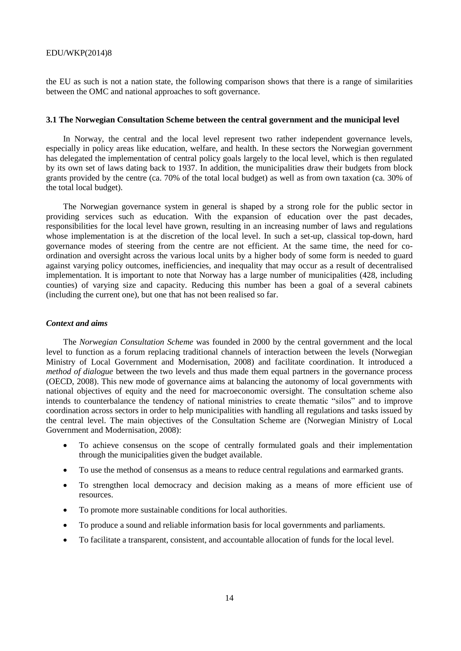#### EDU/WKP(2014)8

the EU as such is not a nation state, the following comparison shows that there is a range of similarities between the OMC and national approaches to soft governance.

#### **3.1 The Norwegian Consultation Scheme between the central government and the municipal level**

In Norway, the central and the local level represent two rather independent governance levels, especially in policy areas like education, welfare, and health. In these sectors the Norwegian government has delegated the implementation of central policy goals largely to the local level, which is then regulated by its own set of laws dating back to 1937. In addition, the municipalities draw their budgets from block grants provided by the centre (ca. 70% of the total local budget) as well as from own taxation (ca. 30% of the total local budget).

The Norwegian governance system in general is shaped by a strong role for the public sector in providing services such as education. With the expansion of education over the past decades, responsibilities for the local level have grown, resulting in an increasing number of laws and regulations whose implementation is at the discretion of the local level. In such a set-up, classical top-down, hard governance modes of steering from the centre are not efficient. At the same time, the need for coordination and oversight across the various local units by a higher body of some form is needed to guard against varying policy outcomes, inefficiencies, and inequality that may occur as a result of decentralised implementation. It is important to note that Norway has a large number of municipalities (428, including counties) of varying size and capacity. Reducing this number has been a goal of a several cabinets (including the current one), but one that has not been realised so far.

#### *Context and aims*

The *Norwegian Consultation Scheme* was founded in 2000 by the central government and the local level to function as a forum replacing traditional channels of interaction between the levels (Norwegian Ministry of Local Government and Modernisation, 2008) and facilitate coordination. It introduced a *method of dialogue* between the two levels and thus made them equal partners in the governance process (OECD, 2008). This new mode of governance aims at balancing the autonomy of local governments with national objectives of equity and the need for macroeconomic oversight. The consultation scheme also intends to counterbalance the tendency of national ministries to create thematic "silos" and to improve coordination across sectors in order to help municipalities with handling all regulations and tasks issued by the central level. The main objectives of the Consultation Scheme are (Norwegian Ministry of Local Government and Modernisation, 2008):

- To achieve consensus on the scope of centrally formulated goals and their implementation through the municipalities given the budget available.
- To use the method of consensus as a means to reduce central regulations and earmarked grants.
- To strengthen local democracy and decision making as a means of more efficient use of resources.
- To promote more sustainable conditions for local authorities.
- To produce a sound and reliable information basis for local governments and parliaments.
- To facilitate a transparent, consistent, and accountable allocation of funds for the local level.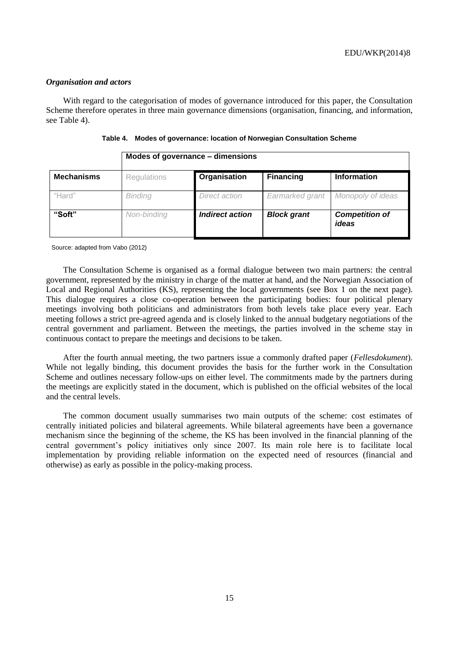#### *Organisation and actors*

With regard to the categorisation of modes of governance introduced for this paper, the Consultation Scheme therefore operates in three main governance dimensions (organisation, financing, and information, see Table 4).

|                   | Modes of governance – dimensions |                        |                    |                                |  |
|-------------------|----------------------------------|------------------------|--------------------|--------------------------------|--|
| <b>Mechanisms</b> | Regulations                      | Organisation           | <b>Financing</b>   | <b>Information</b>             |  |
| "Hard"            | <b>Binding</b>                   | Direct action          | Earmarked grant    | Monopoly of ideas              |  |
| "Soft"            | Non-binding                      | <b>Indirect action</b> | <b>Block grant</b> | <b>Competition of</b><br>ideas |  |

| Table 4. |  |  |  |  | Modes of governance: location of Norwegian Consultation Scheme |  |
|----------|--|--|--|--|----------------------------------------------------------------|--|
|----------|--|--|--|--|----------------------------------------------------------------|--|

Source: adapted from Vabo (2012)

The Consultation Scheme is organised as a formal dialogue between two main partners: the central government, represented by the ministry in charge of the matter at hand, and the Norwegian Association of Local and Regional Authorities (KS), representing the local governments (see Box 1 on the next page). This dialogue requires a close co-operation between the participating bodies: four political plenary meetings involving both politicians and administrators from both levels take place every year. Each meeting follows a strict pre-agreed agenda and is closely linked to the annual budgetary negotiations of the central government and parliament. Between the meetings, the parties involved in the scheme stay in continuous contact to prepare the meetings and decisions to be taken.

After the fourth annual meeting, the two partners issue a commonly drafted paper (*Fellesdokument*). While not legally binding, this document provides the basis for the further work in the Consultation Scheme and outlines necessary follow-ups on either level. The commitments made by the partners during the meetings are explicitly stated in the document, which is published on the official websites of the local and the central levels.

The common document usually summarises two main outputs of the scheme: cost estimates of centrally initiated policies and bilateral agreements. While bilateral agreements have been a governance mechanism since the beginning of the scheme, the KS has been involved in the financial planning of the central government's policy initiatives only since 2007. Its main role here is to facilitate local implementation by providing reliable information on the expected need of resources (financial and otherwise) as early as possible in the policy-making process.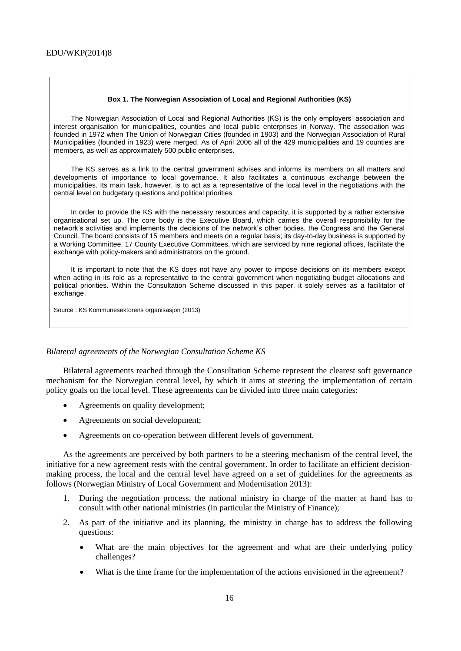#### **Box 1. The Norwegian Association of Local and Regional Authorities (KS)**

The Norwegian Association of Local and Regional Authorities (KS) is the only employers' association and interest organisation for municipalities, counties and local public enterprises in Norway. The association was founded in 1972 when The Union of Norwegian Cities (founded in 1903) and the Norwegian Association of Rural Municipalities (founded in 1923) were merged. As of April 2006 all of the 429 municipalities and 19 counties are members, as well as approximately 500 public enterprises.

The KS serves as a link to the central government advises and informs its members on all matters and developments of importance to local governance. It also facilitates a continuous exchange between the municipalities. Its main task, however, is to act as a representative of the local level in the negotiations with the central level on budgetary questions and political priorities.

In order to provide the KS with the necessary resources and capacity, it is supported by a rather extensive organisational set up. The core body is the Executive Board, which carries the overall responsibility for the network's activities and implements the decisions of the network's other bodies, the Congress and the General Council. The board consists of 15 members and meets on a regular basis; its day-to-day business is supported by a Working Committee. 17 County Executive Committees, which are serviced by nine regional offices, facilitate the exchange with policy-makers and administrators on the ground.

It is important to note that the KS does not have any power to impose decisions on its members except when acting in its role as a representative to the central government when negotiating budget allocations and political priorities. Within the Consultation Scheme discussed in this paper, it solely serves as a facilitator of exchange.

Source : KS Kommunesektorens organisasjon (2013)

#### *Bilateral agreements of the Norwegian Consultation Scheme KS*

Bilateral agreements reached through the Consultation Scheme represent the clearest soft governance mechanism for the Norwegian central level, by which it aims at steering the implementation of certain policy goals on the local level. These agreements can be divided into three main categories:

- Agreements on quality development;
- Agreements on social development;
- Agreements on co-operation between different levels of government.

As the agreements are perceived by both partners to be a steering mechanism of the central level, the initiative for a new agreement rests with the central government. In order to facilitate an efficient decisionmaking process, the local and the central level have agreed on a set of guidelines for the agreements as follows (Norwegian Ministry of Local Government and Modernisation 2013):

- 1. During the negotiation process, the national ministry in charge of the matter at hand has to consult with other national ministries (in particular the Ministry of Finance);
- 2. As part of the initiative and its planning, the ministry in charge has to address the following questions:
	- What are the main objectives for the agreement and what are their underlying policy challenges?
	- What is the time frame for the implementation of the actions envisioned in the agreement?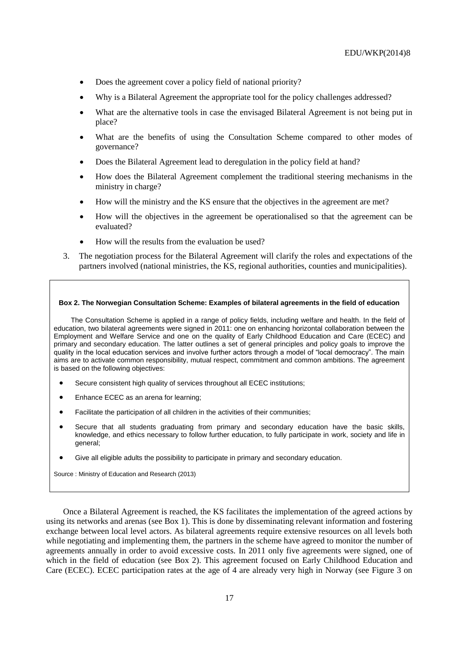- Does the agreement cover a policy field of national priority?
- Why is a Bilateral Agreement the appropriate tool for the policy challenges addressed?
- What are the alternative tools in case the envisaged Bilateral Agreement is not being put in place?
- What are the benefits of using the Consultation Scheme compared to other modes of governance?
- Does the Bilateral Agreement lead to deregulation in the policy field at hand?
- How does the Bilateral Agreement complement the traditional steering mechanisms in the ministry in charge?
- How will the ministry and the KS ensure that the objectives in the agreement are met?
- How will the objectives in the agreement be operationalised so that the agreement can be evaluated?
- How will the results from the evaluation be used?
- 3. The negotiation process for the Bilateral Agreement will clarify the roles and expectations of the partners involved (national ministries, the KS, regional authorities, counties and municipalities).

#### **Box 2. The Norwegian Consultation Scheme: Examples of bilateral agreements in the field of education**

The Consultation Scheme is applied in a range of policy fields, including welfare and health. In the field of education, two bilateral agreements were signed in 2011: one on enhancing horizontal collaboration between the Employment and Welfare Service and one on the quality of Early Childhood Education and Care (ECEC) and primary and secondary education. The latter outlines a set of general principles and policy goals to improve the quality in the local education services and involve further actors through a model of "local democracy". The main aims are to activate common responsibility, mutual respect, commitment and common ambitions. The agreement is based on the following objectives:

- Secure consistent high quality of services throughout all ECEC institutions;
- Enhance ECEC as an arena for learning;
- Facilitate the participation of all children in the activities of their communities;
- Secure that all students graduating from primary and secondary education have the basic skills, knowledge, and ethics necessary to follow further education, to fully participate in work, society and life in general;
- Give all eligible adults the possibility to participate in primary and secondary education.

Source : Ministry of Education and Research (2013)

Once a Bilateral Agreement is reached, the KS facilitates the implementation of the agreed actions by using its networks and arenas (see Box 1). This is done by disseminating relevant information and fostering exchange between local level actors. As bilateral agreements require extensive resources on all levels both while negotiating and implementing them, the partners in the scheme have agreed to monitor the number of agreements annually in order to avoid excessive costs. In 2011 only five agreements were signed, one of which in the field of education (see Box 2). This agreement focused on Early Childhood Education and Care (ECEC). ECEC participation rates at the age of 4 are already very high in Norway (see Figure 3 on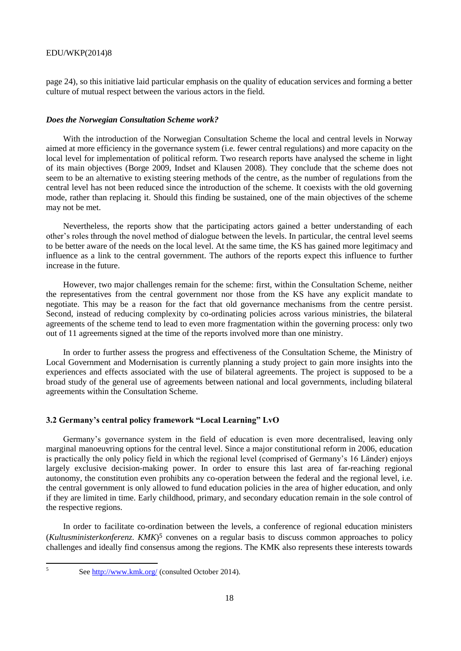#### EDU/WKP(2014)8

page 24), so this initiative laid particular emphasis on the quality of education services and forming a better culture of mutual respect between the various actors in the field.

#### *Does the Norwegian Consultation Scheme work?*

With the introduction of the Norwegian Consultation Scheme the local and central levels in Norway aimed at more efficiency in the governance system (i.e. fewer central regulations) and more capacity on the local level for implementation of political reform. Two research reports have analysed the scheme in light of its main objectives (Borge 2009, Indset and Klausen 2008). They conclude that the scheme does not seem to be an alternative to existing steering methods of the centre, as the number of regulations from the central level has not been reduced since the introduction of the scheme. It coexists with the old governing mode, rather than replacing it. Should this finding be sustained, one of the main objectives of the scheme may not be met.

Nevertheless, the reports show that the participating actors gained a better understanding of each other's roles through the novel method of dialogue between the levels. In particular, the central level seems to be better aware of the needs on the local level. At the same time, the KS has gained more legitimacy and influence as a link to the central government. The authors of the reports expect this influence to further increase in the future.

However, two major challenges remain for the scheme: first, within the Consultation Scheme, neither the representatives from the central government nor those from the KS have any explicit mandate to negotiate. This may be a reason for the fact that old governance mechanisms from the centre persist. Second, instead of reducing complexity by co-ordinating policies across various ministries, the bilateral agreements of the scheme tend to lead to even more fragmentation within the governing process: only two out of 11 agreements signed at the time of the reports involved more than one ministry.

In order to further assess the progress and effectiveness of the Consultation Scheme, the Ministry of Local Government and Modernisation is currently planning a study project to gain more insights into the experiences and effects associated with the use of bilateral agreements. The project is supposed to be a broad study of the general use of agreements between national and local governments, including bilateral agreements within the Consultation Scheme.

# **3.2 Germany's central policy framework "Local Learning" LvO**

Germany's governance system in the field of education is even more decentralised, leaving only marginal manoeuvring options for the central level. Since a major constitutional reform in 2006, education is practically the only policy field in which the regional level (comprised of Germany's 16 Länder) enjoys largely exclusive decision-making power. In order to ensure this last area of far-reaching regional autonomy, the constitution even prohibits any co-operation between the federal and the regional level, i.e. the central government is only allowed to fund education policies in the area of higher education, and only if they are limited in time. Early childhood, primary, and secondary education remain in the sole control of the respective regions.

In order to facilitate co-ordination between the levels, a conference of regional education ministers (*Kultusministerkonferenz. KMK*) <sup>5</sup> convenes on a regular basis to discuss common approaches to policy challenges and ideally find consensus among the regions. The KMK also represents these interests towards

 $\frac{1}{5}$ 

See<http://www.kmk.org/> (consulted October 2014).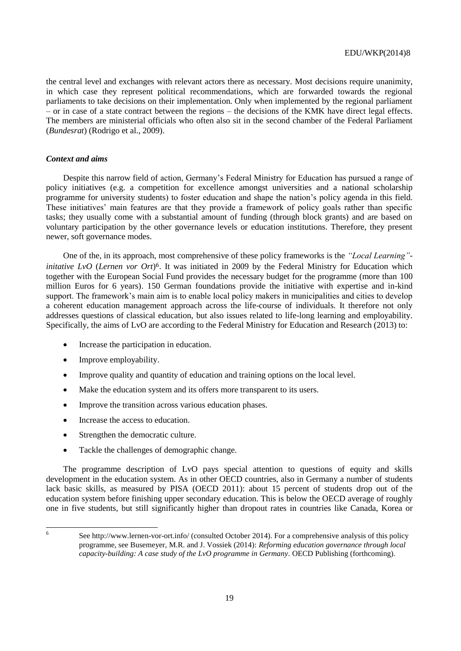the central level and exchanges with relevant actors there as necessary. Most decisions require unanimity, in which case they represent political recommendations, which are forwarded towards the regional parliaments to take decisions on their implementation. Only when implemented by the regional parliament – or in case of a state contract between the regions – the decisions of the KMK have direct legal effects. The members are ministerial officials who often also sit in the second chamber of the Federal Parliament (*Bundesrat*) (Rodrigo et al., 2009).

#### *Context and aims*

Despite this narrow field of action, Germany's Federal Ministry for Education has pursued a range of policy initiatives (e.g. a competition for excellence amongst universities and a national scholarship programme for university students) to foster education and shape the nation's policy agenda in this field. These initiatives' main features are that they provide a framework of policy goals rather than specific tasks; they usually come with a substantial amount of funding (through block grants) and are based on voluntary participation by the other governance levels or education institutions. Therefore, they present newer, soft governance modes.

One of the, in its approach, most comprehensive of these policy frameworks is the *"Local Learning" initative LvO* (*Lernen vor Ort*) <sup>6</sup>. It was initiated in 2009 by the Federal Ministry for Education which together with the European Social Fund provides the necessary budget for the programme (more than 100 million Euros for 6 years). 150 German foundations provide the initiative with expertise and in-kind support. The framework's main aim is to enable local policy makers in municipalities and cities to develop a coherent education management approach across the life-course of individuals. It therefore not only addresses questions of classical education, but also issues related to life-long learning and employability. Specifically, the aims of LvO are according to the Federal Ministry for Education and Research (2013) to:

- Increase the participation in education.
- Improve employability.
- Improve quality and quantity of education and training options on the local level.
- Make the education system and its offers more transparent to its users.
- Improve the transition across various education phases.
- Increase the access to education.
- Strengthen the democratic culture.
- Tackle the challenges of demographic change.

The programme description of LvO pays special attention to questions of equity and skills development in the education system. As in other OECD countries, also in Germany a number of students lack basic skills, as measured by PISA (OECD 2011): about 15 percent of students drop out of the education system before finishing upper secondary education. This is below the OECD average of roughly one in five students, but still significantly higher than dropout rates in countries like Canada, Korea or

6

See<http://www.lernen-vor-ort.info/> (consulted October 2014). For a comprehensive analysis of this policy programme, see Busemeyer, M.R. and J. Vossiek (2014): *Reforming education governance through local capacity-building: A case study of the LvO programme in Germany.* OECD Publishing (forthcoming).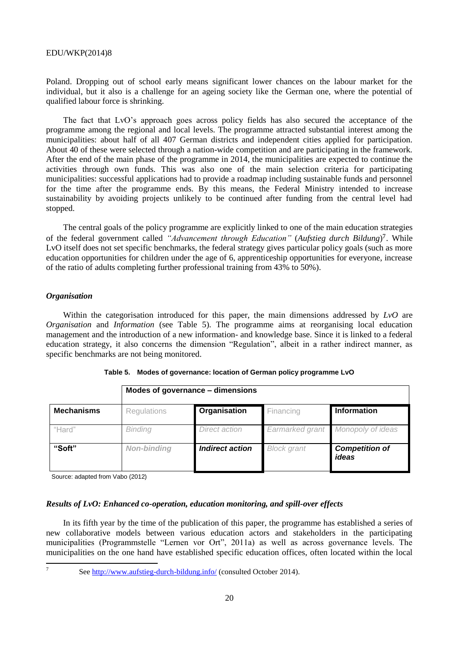Poland. Dropping out of school early means significant lower chances on the labour market for the individual, but it also is a challenge for an ageing society like the German one, where the potential of qualified labour force is shrinking.

The fact that LvO's approach goes across policy fields has also secured the acceptance of the programme among the regional and local levels. The programme attracted substantial interest among the municipalities: about half of all 407 German districts and independent cities applied for participation. About 40 of these were selected through a nation-wide competition and are participating in the framework. After the end of the main phase of the programme in 2014, the municipalities are expected to continue the activities through own funds. This was also one of the main selection criteria for participating municipalities: successful applications had to provide a roadmap including sustainable funds and personnel for the time after the programme ends. By this means, the Federal Ministry intended to increase sustainability by avoiding projects unlikely to be continued after funding from the central level had stopped.

The central goals of the policy programme are explicitly linked to one of the main education strategies of the federal government called *"Advancement through Education"* (*Aufstieg durch Bildung*) <sup>7</sup>. While LvO itself does not set specific benchmarks, the federal strategy gives particular policy goals (such as more education opportunities for children under the age of 6, apprenticeship opportunities for everyone, increase of the ratio of adults completing further professional training from 43% to 50%).

#### *Organisation*

Within the categorisation introduced for this paper, the main dimensions addressed by *LvO* are *Organisation* and *Information* (see Table 5). The programme aims at reorganising local education management and the introduction of a new information- and knowledge base. Since it is linked to a federal education strategy, it also concerns the dimension "Regulation", albeit in a rather indirect manner, as specific benchmarks are not being monitored.

| Modes of governance – dimensions |                    |                        |                    |                                |
|----------------------------------|--------------------|------------------------|--------------------|--------------------------------|
| <b>Mechanisms</b>                | <b>Regulations</b> | Organisation           | Financing          | <b>Information</b>             |
| "Hard"                           | <b>Binding</b>     | Direct action          | Earmarked grant    | Monopoly of ideas              |
| "Soft"                           | <b>Non-binding</b> | <b>Indirect action</b> | <b>Block</b> grant | <b>Competition of</b><br>ideas |

|  | Table 5. Modes of governance: location of German policy programme LvO |
|--|-----------------------------------------------------------------------|
|  |                                                                       |

Source: adapted from Vabo (2012)

# *Results of LvO: Enhanced co-operation, education monitoring, and spill-over effects*

In its fifth year by the time of the publication of this paper, the programme has established a series of new collaborative models between various education actors and stakeholders in the participating municipalities (Programmstelle "Lernen vor Ort", 2011a) as well as across governance levels. The municipalities on the one hand have established specific education offices, often located within the local

<sup>&</sup>lt;sup>-</sup>7

See<http://www.aufstieg-durch-bildung.info/> (consulted October 2014).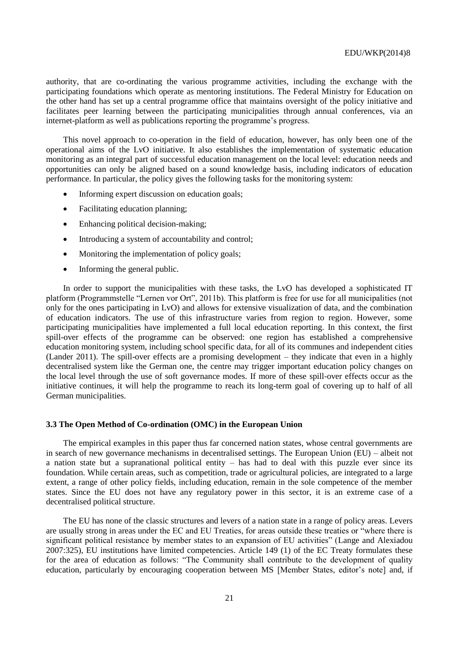authority, that are co-ordinating the various programme activities, including the exchange with the participating foundations which operate as mentoring institutions. The Federal Ministry for Education on the other hand has set up a central programme office that maintains oversight of the policy initiative and facilitates peer learning between the participating municipalities through annual conferences, via an internet-platform as well as publications reporting the programme's progress.

This novel approach to co-operation in the field of education, however, has only been one of the operational aims of the LvO initiative. It also establishes the implementation of systematic education monitoring as an integral part of successful education management on the local level: education needs and opportunities can only be aligned based on a sound knowledge basis, including indicators of education performance. In particular, the policy gives the following tasks for the monitoring system:

- Informing expert discussion on education goals;
- Facilitating education planning:
- Enhancing political decision-making;
- Introducing a system of accountability and control;
- Monitoring the implementation of policy goals;
- Informing the general public.

In order to support the municipalities with these tasks, the LvO has developed a sophisticated IT platform (Programmstelle "Lernen vor Ort", 2011b). This platform is free for use for all municipalities (not only for the ones participating in LvO) and allows for extensive visualization of data, and the combination of education indicators. The use of this infrastructure varies from region to region. However, some participating municipalities have implemented a full local education reporting. In this context, the first spill-over effects of the programme can be observed: one region has established a comprehensive education monitoring system, including school specific data, for all of its communes and independent cities (Lander 2011). The spill-over effects are a promising development – they indicate that even in a highly decentralised system like the German one, the centre may trigger important education policy changes on the local level through the use of soft governance modes. If more of these spill-over effects occur as the initiative continues, it will help the programme to reach its long-term goal of covering up to half of all German municipalities.

#### **3.3 The Open Method of Co-ordination (OMC) in the European Union**

The empirical examples in this paper thus far concerned nation states, whose central governments are in search of new governance mechanisms in decentralised settings. The European Union (EU) – albeit not a nation state but a supranational political entity – has had to deal with this puzzle ever since its foundation. While certain areas, such as competition, trade or agricultural policies, are integrated to a large extent, a range of other policy fields, including education, remain in the sole competence of the member states. Since the EU does not have any regulatory power in this sector, it is an extreme case of a decentralised political structure.

The EU has none of the classic structures and levers of a nation state in a range of policy areas. Levers are usually strong in areas under the EC and EU Treaties, for areas outside these treaties or "where there is significant political resistance by member states to an expansion of EU activities" (Lange and Alexiadou 2007:325), EU institutions have limited competencies. Article 149 (1) of the EC Treaty formulates these for the area of education as follows: "The Community shall contribute to the development of quality education, particularly by encouraging cooperation between MS [Member States, editor's note] and, if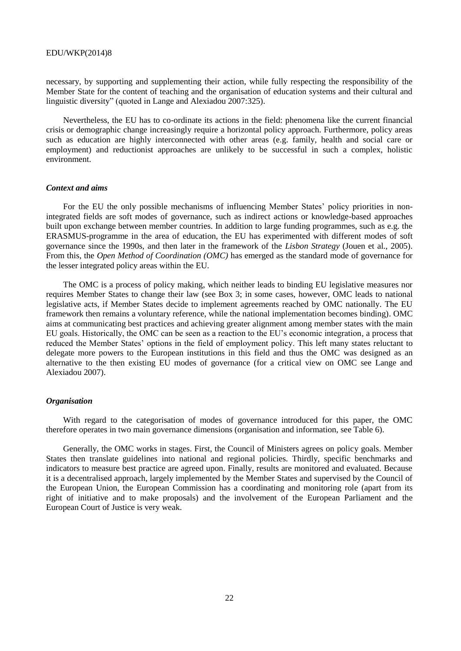necessary, by supporting and supplementing their action, while fully respecting the responsibility of the Member State for the content of teaching and the organisation of education systems and their cultural and linguistic diversity" (quoted in Lange and Alexiadou 2007:325).

Nevertheless, the EU has to co-ordinate its actions in the field: phenomena like the current financial crisis or demographic change increasingly require a horizontal policy approach. Furthermore, policy areas such as education are highly interconnected with other areas (e.g. family, health and social care or employment) and reductionist approaches are unlikely to be successful in such a complex, holistic environment.

#### *Context and aims*

For the EU the only possible mechanisms of influencing Member States' policy priorities in nonintegrated fields are soft modes of governance, such as indirect actions or knowledge-based approaches built upon exchange between member countries. In addition to large funding programmes, such as e.g. the ERASMUS-programme in the area of education, the EU has experimented with different modes of soft governance since the 1990s, and then later in the framework of the *Lisbon Strategy* (Jouen et al., 2005). From this, the *Open Method of Coordination (OMC)* has emerged as the standard mode of governance for the lesser integrated policy areas within the EU.

The OMC is a process of policy making, which neither leads to binding EU legislative measures nor requires Member States to change their law (see Box 3; in some cases, however, OMC leads to national legislative acts, if Member States decide to implement agreements reached by OMC nationally. The EU framework then remains a voluntary reference, while the national implementation becomes binding). OMC aims at communicating best practices and achieving greater alignment among member states with the main EU goals. Historically, the OMC can be seen as a reaction to the EU's economic integration, a process that reduced the Member States' options in the field of employment policy. This left many states reluctant to delegate more powers to the European institutions in this field and thus the OMC was designed as an alternative to the then existing EU modes of governance (for a critical view on OMC see Lange and Alexiadou 2007).

### *Organisation*

With regard to the categorisation of modes of governance introduced for this paper, the OMC therefore operates in two main governance dimensions (organisation and information, see Table 6).

Generally, the OMC works in stages. First, the Council of Ministers agrees on policy goals. Member States then translate guidelines into national and regional policies. Thirdly, specific benchmarks and indicators to measure best practice are agreed upon. Finally, results are monitored and evaluated. Because it is a decentralised approach, largely implemented by the Member States and supervised by the Council of the European Union, the European Commission has a coordinating and monitoring role (apart from its right of initiative and to make proposals) and the involvement of the European Parliament and the European Court of Justice is very weak.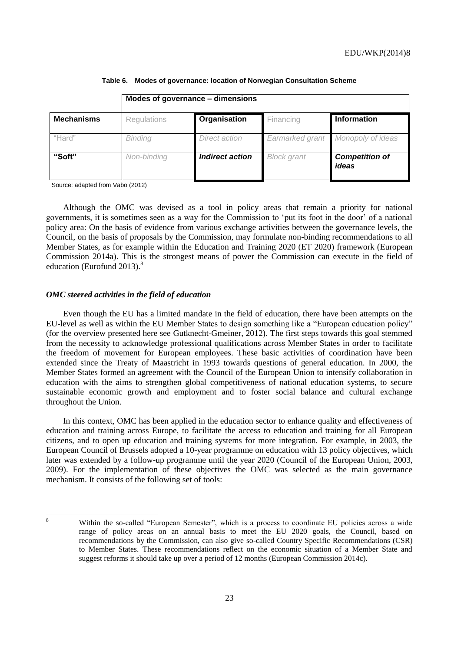|                   | Modes of governance – dimensions |                        |                    |                                |
|-------------------|----------------------------------|------------------------|--------------------|--------------------------------|
| <b>Mechanisms</b> | Regulations                      | Organisation           | Financing          | Information                    |
| "Hard"            | <b>Binding</b>                   | Direct action          | Earmarked grant    | Monopoly of ideas              |
| "Soft"            | Non-binding                      | <b>Indirect action</b> | <b>Block</b> grant | <b>Competition of</b><br>ideas |

**Table 6. Modes of governance: location of Norwegian Consultation Scheme**

Source: adapted from Vabo (2012)

Although the OMC was devised as a tool in policy areas that remain a priority for national governments, it is sometimes seen as a way for the Commission to 'put its foot in the door' of a national policy area: On the basis of evidence from various exchange activities between the governance levels, the Council, on the basis of proposals by the Commission, may formulate non-binding recommendations to all Member States, as for example within the Education and Training 2020 (ET 2020) framework (European Commission 2014a). This is the strongest means of power the Commission can execute in the field of education (Eurofund 2013).<sup>8</sup>

#### *OMC steered activities in the field of education*

Even though the EU has a limited mandate in the field of education, there have been attempts on the EU-level as well as within the EU Member States to design something like a "European education policy" (for the overview presented here see Gutknecht-Gmeiner, 2012). The first steps towards this goal stemmed from the necessity to acknowledge professional qualifications across Member States in order to facilitate the freedom of movement for European employees. These basic activities of coordination have been extended since the Treaty of Maastricht in 1993 towards questions of general education. In 2000, the Member States formed an agreement with the Council of the European Union to intensify collaboration in education with the aims to strengthen global competitiveness of national education systems, to secure sustainable economic growth and employment and to foster social balance and cultural exchange throughout the Union.

In this context, OMC has been applied in the education sector to enhance quality and effectiveness of education and training across Europe, to facilitate the access to education and training for all European citizens, and to open up education and training systems for more integration. For example, in 2003, the European Council of Brussels adopted a 10-year programme on education with 13 policy objectives, which later was extended by a follow-up programme until the year 2020 (Council of the European Union, 2003, 2009). For the implementation of these objectives the OMC was selected as the main governance mechanism. It consists of the following set of tools:

 $\overline{8}$ 

Within the so-called "European Semester", which is a process to coordinate EU policies across a wide range of policy areas on an annual basis to meet the EU 2020 goals, the Council, based on recommendations by the Commission, can also give so-called Country Specific Recommendations (CSR) to Member States. These recommendations reflect on the economic situation of a Member State and suggest reforms it should take up over a period of 12 months (European Commission 2014c).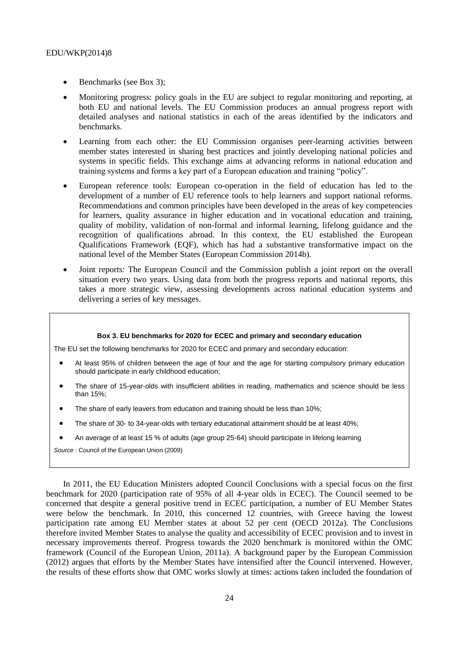- Benchmarks (see Box 3);
- Monitoring progress: policy goals in the EU are subject to regular monitoring and reporting, at both EU and national levels. The EU Commission produces an annual progress report with detailed analyses and national statistics in each of the areas identified by the indicators and benchmarks.
- Learning from each other: the EU Commission organises peer-learning activities between member states interested in sharing best practices and jointly developing national policies and systems in specific fields. This exchange aims at advancing reforms in national education and training systems and forms a key part of a European education and training "policy".
- European reference tools: European co-operation in the field of education has led to the development of a number of EU reference tools to help learners and support national reforms. Recommendations and common principles have been developed in the areas of key competencies for learners, quality assurance in higher education and in vocational education and training, quality of mobility, validation of non-formal and informal learning, lifelong guidance and the recognition of qualifications abroad. In this context, the EU established the European Qualifications Framework (EQF), which has had a substantive transformative impact on the national level of the Member States (European Commission 2014b).
- Joint reports: The European Council and the Commission publish a joint report on the overall situation every two years. Using data from both the progress reports and national reports, this takes a more strategic view, assessing developments across national education systems and delivering a series of key messages.

#### **Box 3. EU benchmarks for 2020 for ECEC and primary and secondary education**

The EU set the following benchmarks for 2020 for ECEC and primary and secondary education:

- At least 95% of children between the age of four and the age for starting compulsory primary education should participate in early childhood education;
- The share of 15-year-olds with insufficient abilities in reading, mathematics and science should be less than 15%;
- The share of early leavers from education and training should be less than 10%;
- The share of 30- to 34-year-olds with tertiary educational attainment should be at least 40%;
- An average of at least 15 % of adults (age group 25-64) should participate in lifelong learning

*Source* : Council of the European Union (2009)

In 2011, the EU Education Ministers adopted Council Conclusions with a special focus on the first benchmark for 2020 (participation rate of 95% of all 4-year olds in ECEC). The Council seemed to be concerned that despite a general positive trend in ECEC participation, a number of EU Member States were below the benchmark. In 2010, this concerned 12 countries, with Greece having the lowest participation rate among EU Member states at about 52 per cent (OECD 2012a). The Conclusions therefore invited Member States to analyse the quality and accessibility of ECEC provision and to invest in necessary improvements thereof. Progress towards the 2020 benchmark is monitored within the OMC framework (Council of the European Union, 2011a). A background paper by the European Commission (2012) argues that efforts by the Member States have intensified after the Council intervened. However, the results of these efforts show that OMC works slowly at times: actions taken included the foundation of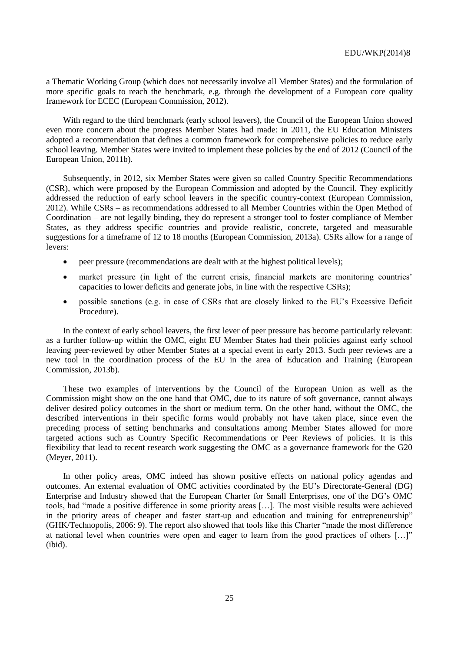a Thematic Working Group (which does not necessarily involve all Member States) and the formulation of more specific goals to reach the benchmark, e.g. through the development of a European core quality framework for ECEC (European Commission, 2012).

With regard to the third benchmark (early school leavers), the Council of the European Union showed even more concern about the progress Member States had made: in 2011, the EU Education Ministers adopted a recommendation that defines a common framework for comprehensive policies to reduce early school leaving. Member States were invited to implement these policies by the end of 2012 (Council of the European Union, 2011b).

Subsequently, in 2012, six Member States were given so called Country Specific Recommendations (CSR), which were proposed by the European Commission and adopted by the Council. They explicitly addressed the reduction of early school leavers in the specific country-context (European Commission, 2012). While CSRs – as recommendations addressed to all Member Countries within the Open Method of Coordination – are not legally binding, they do represent a stronger tool to foster compliance of Member States, as they address specific countries and provide realistic, concrete, targeted and measurable suggestions for a timeframe of 12 to 18 months (European Commission, 2013a). CSRs allow for a range of levers:

- peer pressure (recommendations are dealt with at the highest political levels);
- market pressure (in light of the current crisis, financial markets are monitoring countries' capacities to lower deficits and generate jobs, in line with the respective CSRs);
- possible sanctions (e.g. in case of CSRs that are closely linked to the EU's Excessive Deficit Procedure).

In the context of early school leavers, the first lever of peer pressure has become particularly relevant: as a further follow-up within the OMC, eight EU Member States had their policies against early school leaving peer-reviewed by other Member States at a special event in early 2013. Such peer reviews are a new tool in the coordination process of the EU in the area of Education and Training (European Commission, 2013b).

These two examples of interventions by the Council of the European Union as well as the Commission might show on the one hand that OMC, due to its nature of soft governance, cannot always deliver desired policy outcomes in the short or medium term. On the other hand, without the OMC, the described interventions in their specific forms would probably not have taken place, since even the preceding process of setting benchmarks and consultations among Member States allowed for more targeted actions such as Country Specific Recommendations or Peer Reviews of policies. It is this flexibility that lead to recent research work suggesting the OMC as a governance framework for the G20 (Meyer, 2011).

In other policy areas, OMC indeed has shown positive effects on national policy agendas and outcomes. An external evaluation of OMC activities coordinated by the EU's Directorate-General (DG) Enterprise and Industry showed that the European Charter for Small Enterprises, one of the DG's OMC tools, had "made a positive difference in some priority areas […]. The most visible results were achieved in the priority areas of cheaper and faster start-up and education and training for entrepreneurship" (GHK/Technopolis, 2006: 9). The report also showed that tools like this Charter "made the most difference at national level when countries were open and eager to learn from the good practices of others […]" (ibid).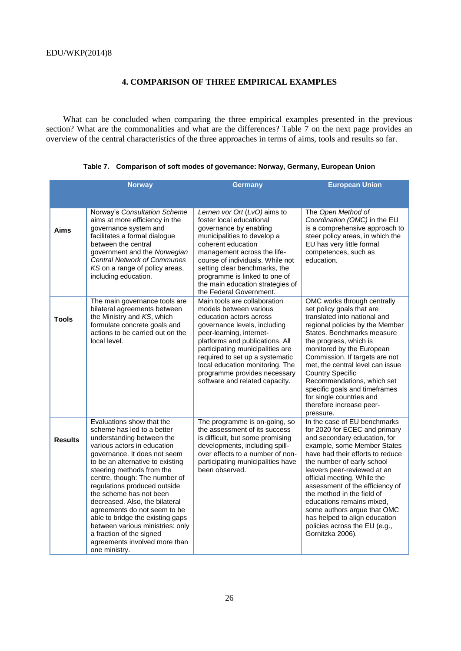# **4. COMPARISON OF THREE EMPIRICAL EXAMPLES**

What can be concluded when comparing the three empirical examples presented in the previous section? What are the commonalities and what are the differences? Table 7 on the next page provides an overview of the central characteristics of the three approaches in terms of aims, tools and results so far.

| <b>Norway</b>  |                                                                                                                                                                                                                                                                                                                                                                                                                                                                                                                                          | <b>Germany</b>                                                                                                                                                                                                                                                                                                                                               | <b>European Union</b>                                                                                                                                                                                                                                                                                                                                                                                                                                                           |  |
|----------------|------------------------------------------------------------------------------------------------------------------------------------------------------------------------------------------------------------------------------------------------------------------------------------------------------------------------------------------------------------------------------------------------------------------------------------------------------------------------------------------------------------------------------------------|--------------------------------------------------------------------------------------------------------------------------------------------------------------------------------------------------------------------------------------------------------------------------------------------------------------------------------------------------------------|---------------------------------------------------------------------------------------------------------------------------------------------------------------------------------------------------------------------------------------------------------------------------------------------------------------------------------------------------------------------------------------------------------------------------------------------------------------------------------|--|
|                |                                                                                                                                                                                                                                                                                                                                                                                                                                                                                                                                          |                                                                                                                                                                                                                                                                                                                                                              |                                                                                                                                                                                                                                                                                                                                                                                                                                                                                 |  |
| <b>Aims</b>    | Norway's Consultation Scheme<br>aims at more efficiency in the<br>governance system and<br>facilitates a formal dialoque<br>between the central<br>government and the Norwegian<br><b>Central Network of Communes</b><br>KS on a range of policy areas,<br>including education.                                                                                                                                                                                                                                                          | Lernen vor Ort (LvO) aims to<br>foster local educational<br>governance by enabling<br>municipalities to develop a<br>coherent education<br>management across the life-<br>course of individuals. While not<br>setting clear benchmarks, the<br>programme is linked to one of<br>the main education strategies of<br>the Federal Government.                  | The Open Method of<br>Coordination (OMC) in the EU<br>is a comprehensive approach to<br>steer policy areas, in which the<br>EU has very little formal<br>competences, such as<br>education.                                                                                                                                                                                                                                                                                     |  |
| <b>Tools</b>   | The main governance tools are<br>bilateral agreements between<br>the Ministry and KS, which<br>formulate concrete goals and<br>actions to be carried out on the<br>local level.                                                                                                                                                                                                                                                                                                                                                          | Main tools are collaboration<br>models between various<br>education actors across<br>governance levels, including<br>peer-learning, internet-<br>platforms and publications. All<br>participating municipalities are<br>required to set up a systematic<br>local education monitoring. The<br>programme provides necessary<br>software and related capacity. | OMC works through centrally<br>set policy goals that are<br>translated into national and<br>regional policies by the Member<br>States. Benchmarks measure<br>the progress, which is<br>monitored by the European<br>Commission. If targets are not<br>met, the central level can issue<br><b>Country Specific</b><br>Recommendations, which set<br>specific goals and timeframes<br>for single countries and<br>therefore increase peer-<br>pressure.                           |  |
| <b>Results</b> | Evaluations show that the<br>scheme has led to a better<br>understanding between the<br>various actors in education<br>governance. It does not seem<br>to be an alternative to existing<br>steering methods from the<br>centre, though: The number of<br>regulations produced outside<br>the scheme has not been<br>decreased. Also, the bilateral<br>agreements do not seem to be<br>able to bridge the existing gaps<br>between various ministries: only<br>a fraction of the signed<br>agreements involved more than<br>one ministry. | The programme is on-going, so<br>the assessment of its success<br>is difficult, but some promising<br>developments, including spill-<br>over effects to a number of non-<br>participating municipalities have<br>been observed.                                                                                                                              | In the case of EU benchmarks<br>for 2020 for ECEC and primary<br>and secondary education, for<br>example, some Member States<br>have had their efforts to reduce<br>the number of early school<br>leavers peer-reviewed at an<br>official meeting. While the<br>assessment of the efficiency of<br>the method in the field of<br>educations remains mixed,<br>some authors argue that OMC<br>has helped to align education<br>policies across the EU (e.g.,<br>Gornitzka 2006). |  |

### **Table 7. Comparison of soft modes of governance: Norway, Germany, European Union**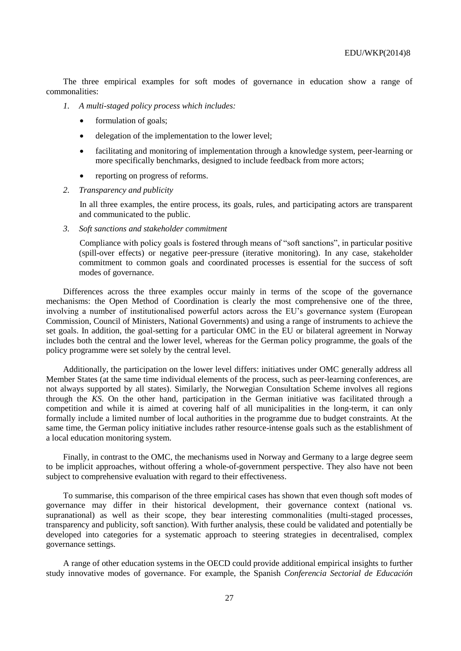The three empirical examples for soft modes of governance in education show a range of commonalities:

- *1. A multi-staged policy process which includes:*
	- formulation of goals;
	- delegation of the implementation to the lower level;
	- facilitating and monitoring of implementation through a knowledge system, peer-learning or more specifically benchmarks, designed to include feedback from more actors;
	- reporting on progress of reforms.
- *2. Transparency and publicity*

In all three examples, the entire process, its goals, rules, and participating actors are transparent and communicated to the public.

*3. Soft sanctions and stakeholder commitment*

Compliance with policy goals is fostered through means of "soft sanctions", in particular positive (spill-over effects) or negative peer-pressure (iterative monitoring). In any case, stakeholder commitment to common goals and coordinated processes is essential for the success of soft modes of governance.

Differences across the three examples occur mainly in terms of the scope of the governance mechanisms: the Open Method of Coordination is clearly the most comprehensive one of the three, involving a number of institutionalised powerful actors across the EU's governance system (European Commission, Council of Ministers, National Governments) and using a range of instruments to achieve the set goals. In addition, the goal-setting for a particular OMC in the EU or bilateral agreement in Norway includes both the central and the lower level, whereas for the German policy programme, the goals of the policy programme were set solely by the central level.

Additionally, the participation on the lower level differs: initiatives under OMC generally address all Member States (at the same time individual elements of the process, such as peer-learning conferences, are not always supported by all states). Similarly, the Norwegian Consultation Scheme involves all regions through the *KS*. On the other hand, participation in the German initiative was facilitated through a competition and while it is aimed at covering half of all municipalities in the long-term, it can only formally include a limited number of local authorities in the programme due to budget constraints. At the same time, the German policy initiative includes rather resource-intense goals such as the establishment of a local education monitoring system.

Finally, in contrast to the OMC, the mechanisms used in Norway and Germany to a large degree seem to be implicit approaches, without offering a whole-of-government perspective. They also have not been subject to comprehensive evaluation with regard to their effectiveness.

To summarise, this comparison of the three empirical cases has shown that even though soft modes of governance may differ in their historical development, their governance context (national vs. supranational) as well as their scope, they bear interesting commonalities (multi-staged processes, transparency and publicity, soft sanction). With further analysis, these could be validated and potentially be developed into categories for a systematic approach to steering strategies in decentralised, complex governance settings.

A range of other education systems in the OECD could provide additional empirical insights to further study innovative modes of governance. For example, the Spanish *Conferencia Sectorial de Educación*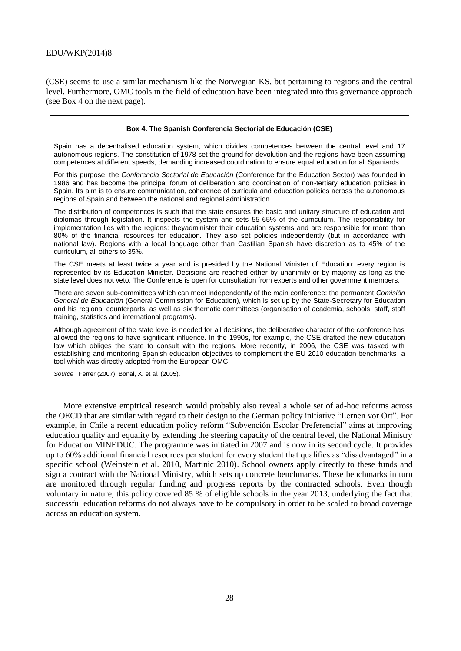(CSE) seems to use a similar mechanism like the Norwegian KS, but pertaining to regions and the central level. Furthermore, OMC tools in the field of education have been integrated into this governance approach (see Box 4 on the next page).

#### **Box 4. The Spanish Conferencia Sectorial de Educación (CSE)**

Spain has a decentralised education system, which divides competences between the central level and 17 autonomous regions. The constitution of 1978 set the ground for devolution and the regions have been assuming competences at different speeds, demanding increased coordination to ensure equal education for all Spaniards.

For this purpose, the *Conferencia Sectorial de Educación* (Conference for the Education Sector) was founded in 1986 and has become the principal forum of deliberation and coordination of non-tertiary education policies in Spain. Its aim is to ensure communication, coherence of curricula and education policies across the autonomous regions of Spain and between the national and regional administration.

The distribution of competences is such that the state ensures the basic and unitary structure of education and diplomas through legislation. It inspects the system and sets 55-65% of the curriculum. The responsibility for implementation lies with the regions: theyadminister their education systems and are responsible for more than 80% of the financial resources for education. They also set policies independently (but in accordance with national law). Regions with a local language other than Castilian Spanish have discretion as to 45% of the curriculum, all others to 35%.

The CSE meets at least twice a year and is presided by the National Minister of Education; every region is represented by its Education Minister. Decisions are reached either by unanimity or by majority as long as the state level does not veto. The Conference is open for consultation from experts and other government members.

There are seven sub-committees which can meet independently of the main conference: the permanent *Comisión General de Educación* (General Commission for Education), which is set up by the State-Secretary for Education and his regional counterparts, as well as six thematic committees (organisation of academia, schools, staff, staff training, statistics and international programs).

Although agreement of the state level is needed for all decisions, the deliberative character of the conference has allowed the regions to have significant influence. In the 1990s, for example, the CSE drafted the new education law which obliges the state to consult with the regions. More recently, in 2006, the CSE was tasked with establishing and monitoring Spanish education objectives to complement the EU 2010 education benchmarks, a tool which was directly adopted from the European OMC.

*Source* : Ferrer (2007), Bonal, X. et al. (2005).

More extensive empirical research would probably also reveal a whole set of ad-hoc reforms across the OECD that are similar with regard to their design to the German policy initiative "Lernen vor Ort". For example, in Chile a recent education policy reform "Subvención Escolar Preferencial" aims at improving education quality and equality by extending the steering capacity of the central level, the National Ministry for Education MINEDUC. The programme was initiated in 2007 and is now in its second cycle. It provides up to 60% additional financial resources per student for every student that qualifies as "disadvantaged" in a specific school (Weinstein et al. 2010, Martinic 2010). School owners apply directly to these funds and sign a contract with the National Ministry, which sets up concrete benchmarks. These benchmarks in turn are monitored through regular funding and progress reports by the contracted schools. Even though voluntary in nature, this policy covered 85 % of eligible schools in the year 2013, underlying the fact that successful education reforms do not always have to be compulsory in order to be scaled to broad coverage across an education system.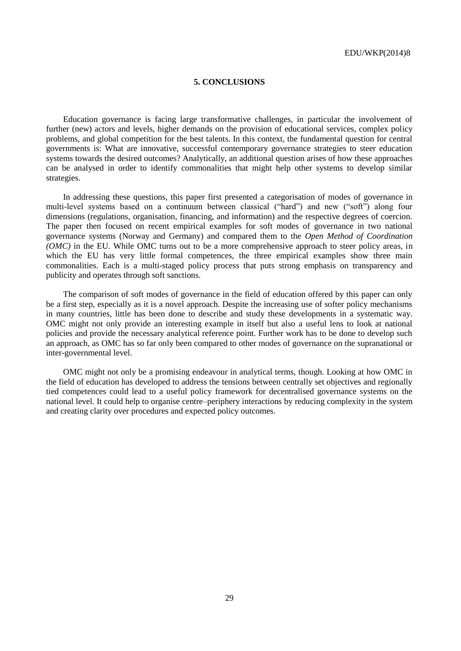#### **5. CONCLUSIONS**

Education governance is facing large transformative challenges, in particular the involvement of further (new) actors and levels, higher demands on the provision of educational services, complex policy problems, and global competition for the best talents. In this context, the fundamental question for central governments is: What are innovative, successful contemporary governance strategies to steer education systems towards the desired outcomes? Analytically, an additional question arises of how these approaches can be analysed in order to identify commonalities that might help other systems to develop similar strategies.

In addressing these questions, this paper first presented a categorisation of modes of governance in multi-level systems based on a continuum between classical ("hard") and new ("soft") along four dimensions (regulations, organisation, financing, and information) and the respective degrees of coercion. The paper then focused on recent empirical examples for soft modes of governance in two national governance systems (Norway and Germany) and compared them to the *Open Method of Coordination (OMC)* in the EU. While OMC turns out to be a more comprehensive approach to steer policy areas, in which the EU has very little formal competences, the three empirical examples show three main commonalities. Each is a multi-staged policy process that puts strong emphasis on transparency and publicity and operates through soft sanctions.

The comparison of soft modes of governance in the field of education offered by this paper can only be a first step, especially as it is a novel approach. Despite the increasing use of softer policy mechanisms in many countries, little has been done to describe and study these developments in a systematic way. OMC might not only provide an interesting example in itself but also a useful lens to look at national policies and provide the necessary analytical reference point. Further work has to be done to develop such an approach, as OMC has so far only been compared to other modes of governance on the supranational or inter-governmental level.

OMC might not only be a promising endeavour in analytical terms, though. Looking at how OMC in the field of education has developed to address the tensions between centrally set objectives and regionally tied competences could lead to a useful policy framework for decentralised governance systems on the national level. It could help to organise centre–periphery interactions by reducing complexity in the system and creating clarity over procedures and expected policy outcomes.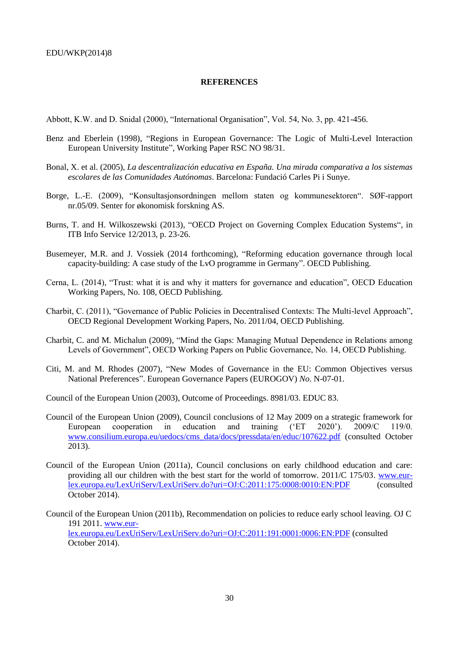#### **REFERENCES**

Abbott, K.W. and D. Snidal (2000), "International Organisation", Vol. 54, No. 3, pp. 421-456.

- Benz and Eberlein (1998), "Regions in European Governance: The Logic of Multi-Level Interaction European University Institute", Working Paper RSC NO 98/31.
- Bonal, X. et al. (2005), *La descentralización educativa en España. Una mirada comparativa a los sistemas escolares de las Comunidades Autónomas*. Barcelona: Fundació Carles Pi i Sunye.
- Borge, L.-E. (2009), "Konsultasjonsordningen mellom staten og kommunesektoren". SØF-rapport nr.05/09. Senter for økonomisk forskning AS.
- Burns, T. and H. Wilkoszewski (2013), "OECD Project on Governing Complex Education Systems", in ITB Info Service 12/2013, p. 23-26.
- Busemeyer, M.R. and J. Vossiek (2014 forthcoming), "Reforming education governance through local capacity-building: A case study of the LvO programme in Germany". OECD Publishing.
- Cerna, L. (2014), "Trust: what it is and why it matters for governance and education", OECD Education Working Papers, No. 108, OECD Publishing.
- Charbit, C. (2011), "Governance of Public Policies in Decentralised Contexts: The Multi-level Approach", OECD Regional Development Working Papers, No. 2011/04, OECD Publishing.
- Charbit, C. and M. Michalun (2009), "Mind the Gaps: Managing Mutual Dependence in Relations among Levels of Government", OECD Working Papers on Public Governance, No. 14, OECD Publishing.
- Citi, M. and M. Rhodes (2007), "New Modes of Governance in the EU: Common Objectives versus National Preferences". European Governance Papers (EUROGOV) *No*. N-07-01.
- Council of the European Union (2003), Outcome of Proceedings. 8981/03. EDUC 83.
- Council of the European Union (2009), Council conclusions of 12 May 2009 on a strategic framework for European cooperation in education and training ('ET 2020'). 2009/C 119/0. [www.consilium.europa.eu/uedocs/cms\\_data/docs/pressdata/en/educ/107622.pdf](http://www.consilium.europa.eu/uedocs/cms_data/docs/pressdata/en/educ/107622.pdf) (consulted October 2013).
- Council of the European Union (2011a), Council conclusions on early childhood education and care: providing all our children with the best start for the world of tomorrow. 2011/C 175/03. [www.eur](http://www.eur-lex.europa.eu/LexUriServ/LexUriServ.do?uri=OJ:C:2011:175:0008:0010:EN:PDF)[lex.europa.eu/LexUriServ/LexUriServ.do?uri=OJ:C:2011:175:0008:0010:EN:PDF](http://www.eur-lex.europa.eu/LexUriServ/LexUriServ.do?uri=OJ:C:2011:175:0008:0010:EN:PDF) (consulted October 2014).
- Council of the European Union (2011b), Recommendation on policies to reduce early school leaving. OJ C 191 2011[. www.eur](http://www.eur-lex.europa.eu/LexUriServ/LexUriServ.do?uri=OJ:C:2011:191:0001:0006:EN:PDF%20)[lex.europa.eu/LexUriServ/LexUriServ.do?uri=OJ:C:2011:191:0001:0006:EN:PDF](http://www.eur-lex.europa.eu/LexUriServ/LexUriServ.do?uri=OJ:C:2011:191:0001:0006:EN:PDF%20) (consulted October 2014).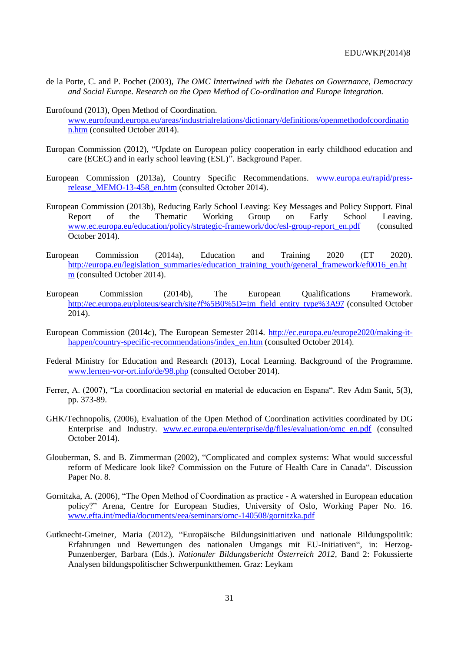- de la Porte, C. and P. Pochet (2003), *The OMC Intertwined with the Debates on Governance, Democracy and Social Europe. Research on the Open Method of Co-ordination and Europe Integration.*
- Eurofound (2013), Open Method of Coordination.
	- [www.eurofound.europa.eu/areas/industrialrelations/dictionary/definitions/openmethodofcoordinatio](http://www.eurofound.europa.eu/areas/industrialrelations/dictionary/definitions/openmethodofcoordination.htm) [n.htm](http://www.eurofound.europa.eu/areas/industrialrelations/dictionary/definitions/openmethodofcoordination.htm) (consulted October 2014).
- Europan Commission (2012), "Update on European policy cooperation in early childhood education and care (ECEC) and in early school leaving (ESL)". Background Paper.
- European Commission (2013a), Country Specific Recommendations. [www.europa.eu/rapid/press](http://www.europa.eu/rapid/press-release_MEMO-13-458_en.htm)[release\\_MEMO-13-458\\_en.htm](http://www.europa.eu/rapid/press-release_MEMO-13-458_en.htm) (consulted October 2014).
- European Commission (2013b), Reducing Early School Leaving: Key Messages and Policy Support. Final Report of the Thematic Working Group on Early School Leaving. [www.ec.europa.eu/education/policy/strategic-framework/doc/esl-group-report\\_en.pdf](http://ec.europa.eu/education/policy/strategic-framework/doc/esl-group-report_en.pdf) (consulted October 2014).
- European Commission (2014a), Education and Training 2020 (ET 2020). [http://europa.eu/legislation\\_summaries/education\\_training\\_youth/general\\_framework/ef0016\\_en.ht](http://europa.eu/legislation_summaries/education_training_youth/general_framework/ef0016_en.htm) [m](http://europa.eu/legislation_summaries/education_training_youth/general_framework/ef0016_en.htm) (consulted October 2014).
- European Commission (2014b), The European Qualifications Framework. [http://ec.europa.eu/ploteus/search/site?f%5B0%5D=im\\_field\\_entity\\_type%3A97](http://ec.europa.eu/ploteus/search/site?f%5B0%5D=im_field_entity_type%3A97) (consulted October 2014).
- European Commission (2014c), The European Semester 2014. [http://ec.europa.eu/europe2020/making-it](http://ec.europa.eu/europe2020/making-it-happen/country-specific-recommendations/index_en.htm)[happen/country-specific-recommendations/index\\_en.htm](http://ec.europa.eu/europe2020/making-it-happen/country-specific-recommendations/index_en.htm) (consulted October 2014).
- Federal Ministry for Education and Research (2013), Local Learning. Background of the Programme. [www.lernen-vor-ort.info/de/98.php](http://www.lernen-vor-ort.info/de/98.php) (consulted October 2014).
- Ferrer, A. (2007), "La coordinacion sectorial en material de educacion en Espana". Rev Adm Sanit, 5(3), pp. 373-89.
- GHK/Technopolis, (2006), Evaluation of the Open Method of Coordination activities coordinated by DG Enterprise and Industry. [www.ec.europa.eu/enterprise/dg/files/evaluation/omc\\_en.pdf](http://www.ec.europa.eu/enterprise/dg/files/evaluation/omc_en.pdf) (consulted October 2014).
- Glouberman, S. and B. Zimmerman (2002), "Complicated and complex systems: What would successful reform of Medicare look like? Commission on the Future of Health Care in Canada". Discussion Paper No. 8.
- Gornitzka, A. (2006), "The Open Method of Coordination as practice A watershed in European education policy?" Arena, Centre for European Studies, University of Oslo, Working Paper No. 16. [www.efta.int/media/documents/eea/seminars/omc-140508/gornitzka.pdf](http://www.efta.int/media/documents/eea/seminars/omc-140508/gornitzka.pdf)
- Gutknecht-Gmeiner, Maria (2012), "Europäische Bildungsinitiativen und nationale Bildungspolitik: Erfahrungen und Bewertungen des nationalen Umgangs mit EU-Initiativen", in: Herzog-Punzenberger, Barbara (Eds.). *Nationaler Bildungsbericht Österreich 2012*, Band 2: Fokussierte Analysen bildungspolitischer Schwerpunktthemen. Graz: Leykam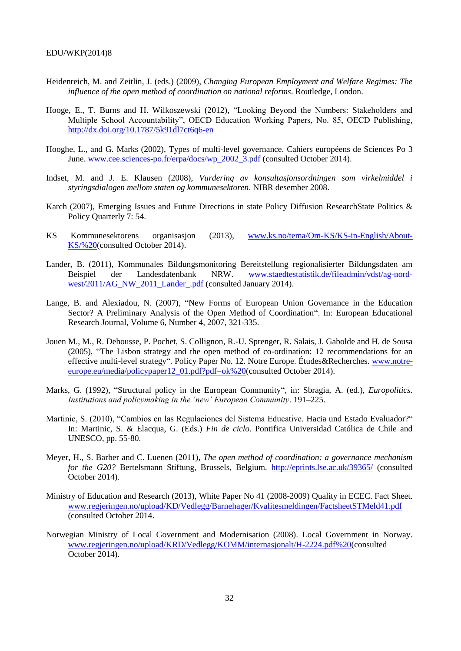- Heidenreich, M. and Zeitlin, J. (eds.) (2009), *Changing European Employment and Welfare Regimes: The influence of the open method of coordination on national reforms*. Routledge, London.
- Hooge, E., T. Burns and H. Wilkoszewski (2012), "Looking Beyond the Numbers: Stakeholders and Multiple School Accountability", OECD Education Working Papers, No. 85, OECD Publishing, <http://dx.doi.org/10.1787/5k91dl7ct6q6-en>
- Hooghe, L., and G. Marks (2002), Types of multi-level governance. Cahiers européens de Sciences Po 3 June. [www.cee.sciences-po.fr/erpa/docs/wp\\_2002\\_3.pdf](http://www.cee.sciences-po.fr/erpa/docs/wp_2002_3.pdf) (consulted October 2014).
- Indset, M. and J. E. Klausen (2008), *Vurdering av konsultasjonsordningen som virkelmiddel i styringsdialogen mellom staten og kommunesektoren*. NIBR desember 2008.
- Karch (2007), Emerging Issues and Future Directions in state Policy Diffusion ResearchState Politics & Policy Quarterly 7: 54.
- KS Kommunesektorens organisasjon (2013), [www.ks.no/tema/Om-KS/KS-in-English/About-](http://www.ks.no/tema/Om-KS/KS-in-English/About-KS/)[KS/%20\(](http://www.ks.no/tema/Om-KS/KS-in-English/About-KS/)consulted October 2014).
- Lander, B. (2011), Kommunales Bildungsmonitoring Bereitstellung regionalisierter Bildungsdaten am Beispiel der Landesdatenbank NRW. [www.staedtestatistik.de/fileadmin/vdst/ag-nord](http://www.staedtestatistik.de/fileadmin/vdst/ag-nord-west/2011/AG_NW_2011_Lander_.pdf)[west/2011/AG\\_NW\\_2011\\_Lander\\_.pdf](http://www.staedtestatistik.de/fileadmin/vdst/ag-nord-west/2011/AG_NW_2011_Lander_.pdf) (consulted January 2014).
- Lange, B. and Alexiadou, N. (2007), "New Forms of European Union Governance in the Education Sector? A Preliminary Analysis of the Open Method of Coordination". In: European Educational Research Journal, Volume 6, Number 4, 2007, 321-335.
- Jouen M., M., R. Dehousse, P. Pochet, S. Collignon, R.-U. Sprenger, R. Salais, J. Gabolde and H. de Sousa (2005), "The Lisbon strategy and the open method of co-ordination: 12 recommendations for an effective multi-level strategy". Policy Paper No. 12. Notre Europe. Études&Recherches. [www.notre](http://www.notre-europe.eu/media/policypaper12_01.pdf?pdf=ok%20)[europe.eu/media/policypaper12\\_01.pdf?pdf=ok%20\(](http://www.notre-europe.eu/media/policypaper12_01.pdf?pdf=ok%20)consulted October 2014).
- Marks, G. (1992), "Structural policy in the European Community", in: Sbragia, A. (ed.), *Europolitics. Institutions and policymaking in the 'new' European Community*. 191–225.
- Martinic, S. (2010), "Cambios en las Regulaciones del Sistema Educative. Hacia und Estado Evaluador?" In: Martinic, S. & Elacqua, G. (Eds.) *Fin de ciclo*. Pontifica Universidad Católica de Chile and UNESCO, pp. 55-80.
- Meyer, H., S. Barber and C. Luenen (2011), *The open method of coordination: a governance mechanism for the G20?* Bertelsmann Stiftung, Brussels, Belgium. <http://eprints.lse.ac.uk/39365/> (consulted October 2014).
- Ministry of Education and Research (2013), White Paper No 41 (2008-2009) Quality in ECEC. Fact Sheet. [www.regjeringen.no/upload/KD/Vedlegg/Barnehager/Kvalitesmeldingen/FactsheetSTMeld41.pdf](http://www.regjeringen.no/upload/KD/Vedlegg/Barnehager/Kvalitesmeldingen/FactsheetSTMeld41.pdf) (consulted October 2014.
- Norwegian Ministry of Local Government and Modernisation (2008). Local Government in Norway. [www.regjeringen.no/upload/KRD/Vedlegg/KOMM/internasjonalt/H-2224.pdf%20\(](http://www.regjeringen.no/upload/KRD/Vedlegg/KOMM/internasjonalt/H-2224.pdf)consulted October 2014).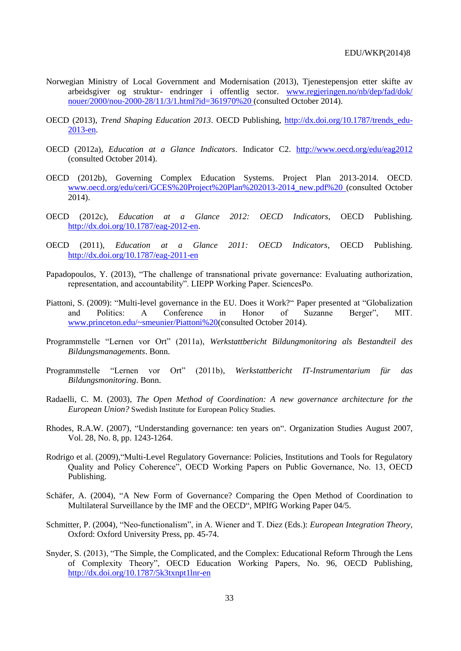- Norwegian Ministry of Local Government and Modernisation (2013), Tjenestepensjon etter skifte av arbeidsgiver og struktur- endringer i offentlig sector. [www.regjeringen.no/nb/dep/fad/dok/](http://www.regjeringen.no/nb/dep/fad/dok/nouer/2000/nou-2000-28/11/3/1.html?id=361970%20) [nouer/2000/nou-2000-28/11/3/1.html?id=361970%20](http://www.regjeringen.no/nb/dep/fad/dok/nouer/2000/nou-2000-28/11/3/1.html?id=361970%20) (consulted October 2014).
- OECD (2013), *Trend Shaping Education 2013*. OECD Publishing, [http://dx.doi.org/10.1787/trends\\_edu-](http://dx.doi.org/10.1787/trends_edu-2013-en)[2013-en.](http://dx.doi.org/10.1787/trends_edu-2013-en)
- OECD (2012a), *Education at a Glance Indicators*. Indicator C2. <http://www.oecd.org/edu/eag2012> (consulted October 2014).
- OECD (2012b), Governing Complex Education Systems. Project Plan 2013-2014. OECD. [www.oecd.org/edu/ceri/GCES%20Project%20Plan%202013-2014\\_new.pdf%20](http://www.oecd.org/edu/ceri/GCES%20Project%20Plan%202013-2014_new.pdf) (consulted October 2014).
- OECD (2012c), *Education at a Glance 2012: OECD Indicators*, OECD Publishing. [http://dx.doi.org/10.1787/eag-2012-en.](http://dx.doi.org/10.1787/eag-2012-en)
- OECD (2011), *Education at a Glance 2011: OECD Indicators*, OECD Publishing. <http://dx.doi.org/10.1787/eag-2011-en>
- Papadopoulos, Y. (2013), "The challenge of transnational private governance: Evaluating authorization, representation, and accountability". LIEPP Working Paper. SciencesPo.
- Piattoni, S. (2009): "Multi-level governance in the EU. Does it Work?" Paper presented at "Globalization and Politics: A Conference in Honor of Suzanne Berger", MIT. [www.princeton.edu/~smeunier/Piattoni%20\(](http://www.princeton.edu/~smeunier/Piattoni)consulted October 2014).
- Programmstelle "Lernen vor Ort" (2011a), *Werkstattbericht Bildungmonitoring als Bestandteil des Bildungsmanagements*. Bonn.
- Programmstelle "Lernen vor Ort" (2011b), *Werkstattbericht IT-Instrumentarium für das Bildungsmonitoring*. Bonn.
- Radaelli, C. M. (2003), *The Open Method of Coordination: A new governance architecture for the European Union?* Swedish Institute for European Policy Studies.
- Rhodes, R.A.W. (2007), "Understanding governance: ten years on". Organization Studies August 2007, Vol. 28, No. 8, pp. 1243-1264.
- Rodrigo et al. (2009),"Multi-Level Regulatory Governance: Policies, Institutions and Tools for Regulatory Quality and Policy Coherence", OECD Working Papers on Public Governance, No. 13, OECD Publishing.
- Schäfer, A. (2004), "A New Form of Governance? Comparing the Open Method of Coordination to Multilateral Surveillance by the IMF and the OECD", MPIfG Working Paper 04/5.
- Schmitter, P. (2004), "Neo-functionalism", in A. Wiener and T. Diez (Eds.): *European Integration Theory*, Oxford: Oxford University Press, pp. 45-74.
- Snyder, S. (2013), "The Simple, the Complicated, and the Complex: Educational Reform Through the Lens of Complexity Theory", OECD Education Working Papers, No. 96, OECD Publishing, <http://dx.doi.org/10.1787/5k3txnpt1lnr-en>